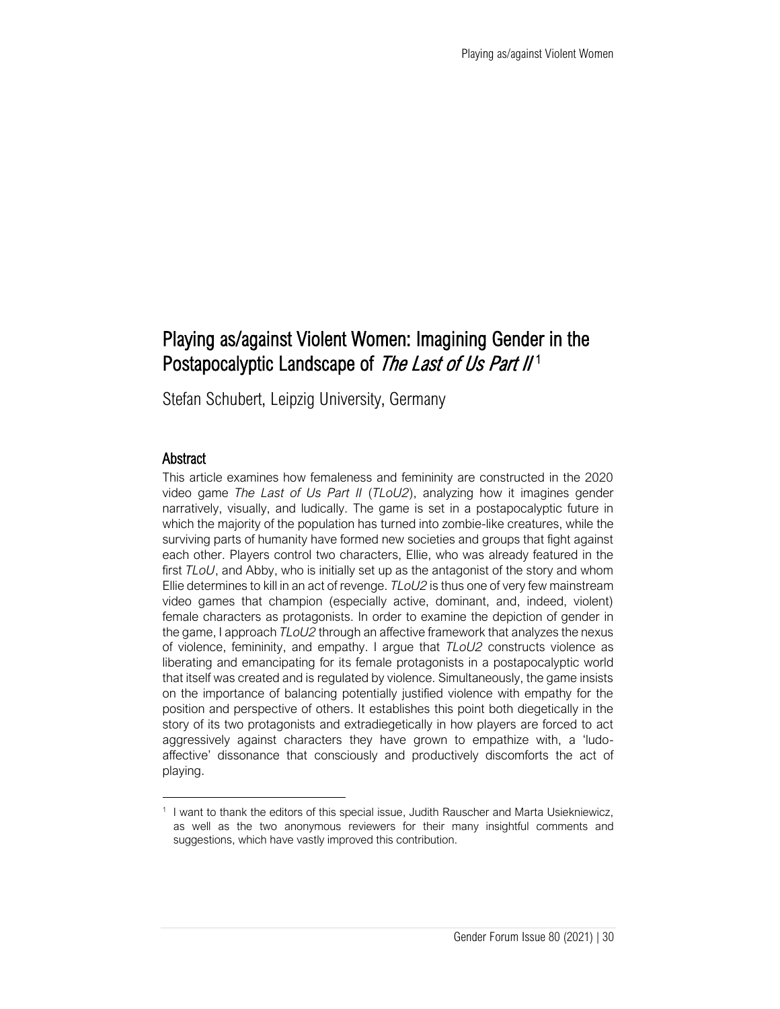# Playing as/against Violent Women: Imagining Gender in the Postapocalyptic Landscape of The Last of Us Part II<sup>1</sup>

Stefan Schubert, Leipzig University, Germany

#### Abstract

This article examines how femaleness and femininity are constructed in the 2020 video game *The Last of Us Part II* (*TLoU2*), analyzing how it imagines gender narratively, visually, and ludically. The game is set in a postapocalyptic future in which the majority of the population has turned into zombie-like creatures, while the surviving parts of humanity have formed new societies and groups that fight against each other. Players control two characters, Ellie, who was already featured in the first *TLoU*, and Abby, who is initially set up as the antagonist of the story and whom Ellie determines to kill in an act of revenge. *TLoU2* is thus one of very few mainstream video games that champion (especially active, dominant, and, indeed, violent) female characters as protagonists. In order to examine the depiction of gender in the game, I approach *TLoU2* through an affective framework that analyzes the nexus of violence, femininity, and empathy. I argue that *TLoU2* constructs violence as liberating and emancipating for its female protagonists in a postapocalyptic world that itself was created and is regulated by violence. Simultaneously, the game insists on the importance of balancing potentially justified violence with empathy for the position and perspective of others. It establishes this point both diegetically in the story of its two protagonists and extradiegetically in how players are forced to act aggressively against characters they have grown to empathize with, a 'ludoaffective' dissonance that consciously and productively discomforts the act of playing.

<sup>1</sup> I want to thank the editors of this special issue, Judith Rauscher and Marta Usiekniewicz, as well as the two anonymous reviewers for their many insightful comments and suggestions, which have vastly improved this contribution.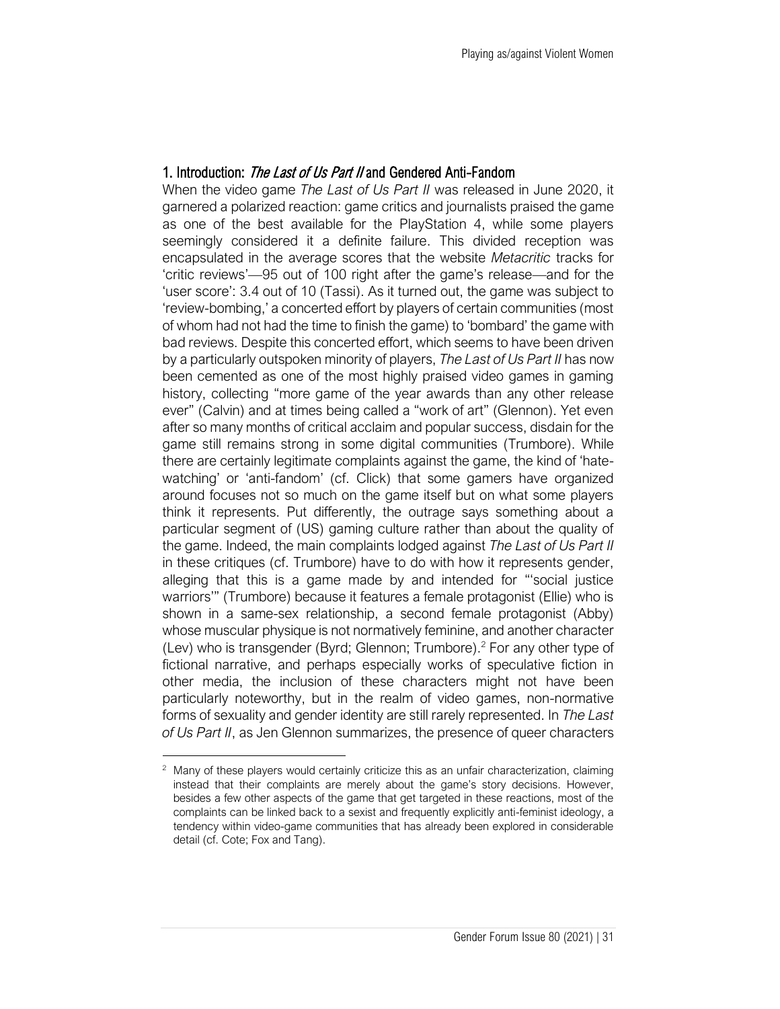## 1. Introduction: The Last of Us Part II and Gendered Anti-Fandom

When the video game *The Last of Us Part II* was released in June 2020, it garnered a polarized reaction: game critics and journalists praised the game as one of the best available for the PlayStation 4, while some players seemingly considered it a definite failure. This divided reception was encapsulated in the average scores that the website *Metacritic* tracks for 'critic reviews'—95 out of 100 right after the game's release—and for the 'user score': 3.4 out of 10 (Tassi). As it turned out, the game was subject to 'review-bombing,' a concerted effort by players of certain communities (most of whom had not had the time to finish the game) to 'bombard' the game with bad reviews. Despite this concerted effort, which seems to have been driven by a particularly outspoken minority of players, *The Last of Us Part II* has now been cemented as one of the most highly praised video games in gaming history, collecting "more game of the year awards than any other release ever" (Calvin) and at times being called a "work of art" (Glennon). Yet even after so many months of critical acclaim and popular success, disdain for the game still remains strong in some digital communities (Trumbore). While there are certainly legitimate complaints against the game, the kind of 'hatewatching' or 'anti-fandom' (cf. Click) that some gamers have organized around focuses not so much on the game itself but on what some players think it represents. Put differently, the outrage says something about a particular segment of (US) gaming culture rather than about the quality of the game. Indeed, the main complaints lodged against *The Last of Us Part II* in these critiques (cf. Trumbore) have to do with how it represents gender, alleging that this is a game made by and intended for "'social justice warriors'" (Trumbore) because it features a female protagonist (Ellie) who is shown in a same-sex relationship, a second female protagonist (Abby) whose muscular physique is not normatively feminine, and another character (Lev) who is transgender (Byrd; Glennon; Trumbore).<sup>2</sup> For any other type of fictional narrative, and perhaps especially works of speculative fiction in other media, the inclusion of these characters might not have been particularly noteworthy, but in the realm of video games, non-normative forms of sexuality and gender identity are still rarely represented. In *The Last of Us Part II*, as Jen Glennon summarizes, the presence of queer characters

<sup>&</sup>lt;sup>2</sup> Many of these players would certainly criticize this as an unfair characterization, claiming instead that their complaints are merely about the game's story decisions. However, besides a few other aspects of the game that get targeted in these reactions, most of the complaints can be linked back to a sexist and frequently explicitly anti-feminist ideology, a tendency within video-game communities that has already been explored in considerable detail (cf. Cote; Fox and Tang).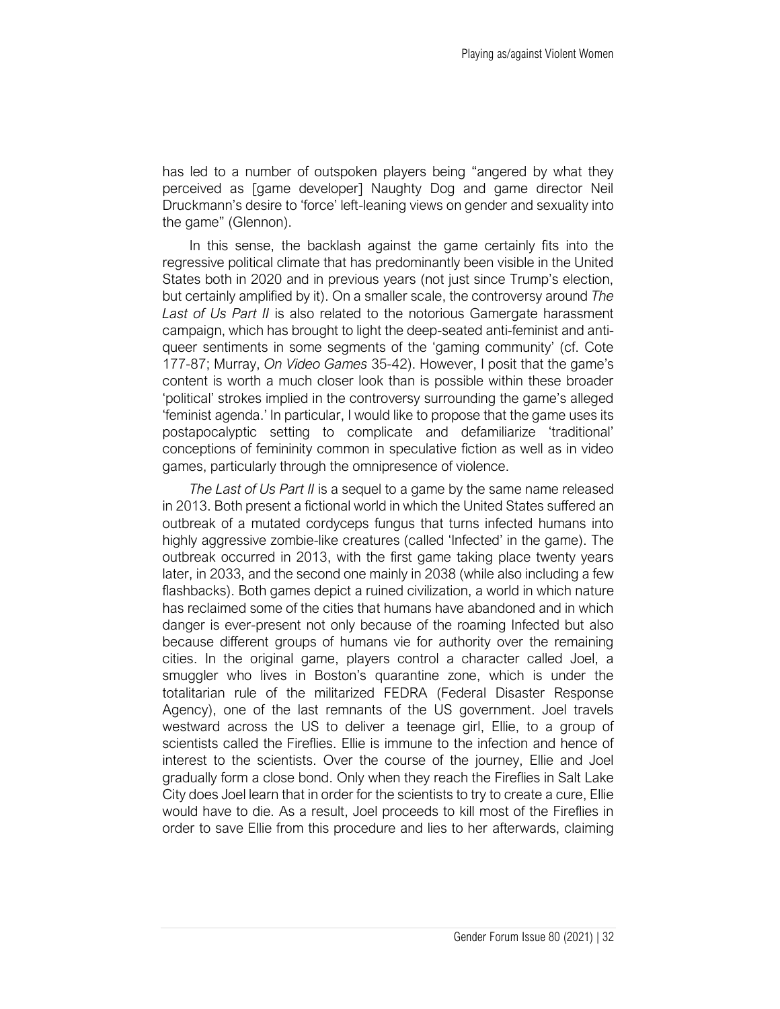has led to a number of outspoken players being "angered by what they perceived as [game developer] Naughty Dog and game director Neil Druckmann's desire to 'force' left-leaning views on gender and sexuality into the game" (Glennon).

In this sense, the backlash against the game certainly fits into the regressive political climate that has predominantly been visible in the United States both in 2020 and in previous years (not just since Trump's election, but certainly amplified by it). On a smaller scale, the controversy around *The Last of Us Part II* is also related to the notorious Gamergate harassment campaign, which has brought to light the deep-seated anti-feminist and antiqueer sentiments in some segments of the 'gaming community' (cf. Cote 177-87; Murray, *On Video Games* 35-42). However, I posit that the game's content is worth a much closer look than is possible within these broader 'political' strokes implied in the controversy surrounding the game's alleged 'feminist agenda.' In particular, I would like to propose that the game uses its postapocalyptic setting to complicate and defamiliarize 'traditional' conceptions of femininity common in speculative fiction as well as in video games, particularly through the omnipresence of violence.

*The Last of Us Part II* is a sequel to a game by the same name released in 2013. Both present a fictional world in which the United States suffered an outbreak of a mutated cordyceps fungus that turns infected humans into highly aggressive zombie-like creatures (called 'Infected' in the game). The outbreak occurred in 2013, with the first game taking place twenty years later, in 2033, and the second one mainly in 2038 (while also including a few flashbacks). Both games depict a ruined civilization, a world in which nature has reclaimed some of the cities that humans have abandoned and in which danger is ever-present not only because of the roaming Infected but also because different groups of humans vie for authority over the remaining cities. In the original game, players control a character called Joel, a smuggler who lives in Boston's quarantine zone, which is under the totalitarian rule of the militarized FEDRA (Federal Disaster Response Agency), one of the last remnants of the US government. Joel travels westward across the US to deliver a teenage girl, Ellie, to a group of scientists called the Fireflies. Ellie is immune to the infection and hence of interest to the scientists. Over the course of the journey, Ellie and Joel gradually form a close bond. Only when they reach the Fireflies in Salt Lake City does Joel learn that in order for the scientists to try to create a cure, Ellie would have to die. As a result, Joel proceeds to kill most of the Fireflies in order to save Ellie from this procedure and lies to her afterwards, claiming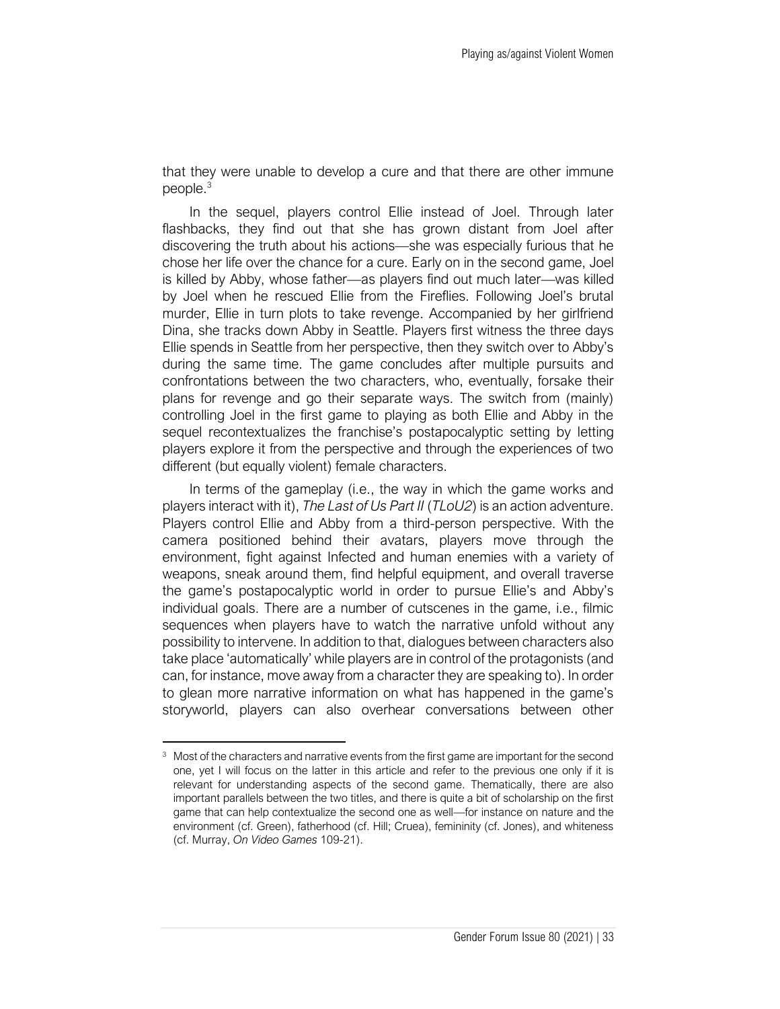that they were unable to develop a cure and that there are other immune people.<sup>3</sup>

In the sequel, players control Ellie instead of Joel. Through later flashbacks, they find out that she has grown distant from Joel after discovering the truth about his actions—she was especially furious that he chose her life over the chance for a cure. Early on in the second game, Joel is killed by Abby, whose father—as players find out much later—was killed by Joel when he rescued Ellie from the Fireflies. Following Joel's brutal murder, Ellie in turn plots to take revenge. Accompanied by her girlfriend Dina, she tracks down Abby in Seattle. Players first witness the three days Ellie spends in Seattle from her perspective, then they switch over to Abby's during the same time. The game concludes after multiple pursuits and confrontations between the two characters, who, eventually, forsake their plans for revenge and go their separate ways. The switch from (mainly) controlling Joel in the first game to playing as both Ellie and Abby in the sequel recontextualizes the franchise's postapocalyptic setting by letting players explore it from the perspective and through the experiences of two different (but equally violent) female characters.

In terms of the gameplay (i.e., the way in which the game works and players interact with it), *The Last of Us Part II* (*TLoU2*) is an action adventure. Players control Ellie and Abby from a third-person perspective. With the camera positioned behind their avatars, players move through the environment, fight against Infected and human enemies with a variety of weapons, sneak around them, find helpful equipment, and overall traverse the game's postapocalyptic world in order to pursue Ellie's and Abby's individual goals. There are a number of cutscenes in the game, i.e., filmic sequences when players have to watch the narrative unfold without any possibility to intervene. In addition to that, dialogues between characters also take place 'automatically' while players are in control of the protagonists (and can, for instance, move away from a character they are speaking to). In order to glean more narrative information on what has happened in the game's storyworld, players can also overhear conversations between other

<sup>&</sup>lt;sup>3</sup> Most of the characters and narrative events from the first game are important for the second one, yet I will focus on the latter in this article and refer to the previous one only if it is relevant for understanding aspects of the second game. Thematically, there are also important parallels between the two titles, and there is quite a bit of scholarship on the first game that can help contextualize the second one as well—for instance on nature and the environment (cf. Green), fatherhood (cf. Hill; Cruea), femininity (cf. Jones), and whiteness (cf. Murray, *On Video Games* 109-21).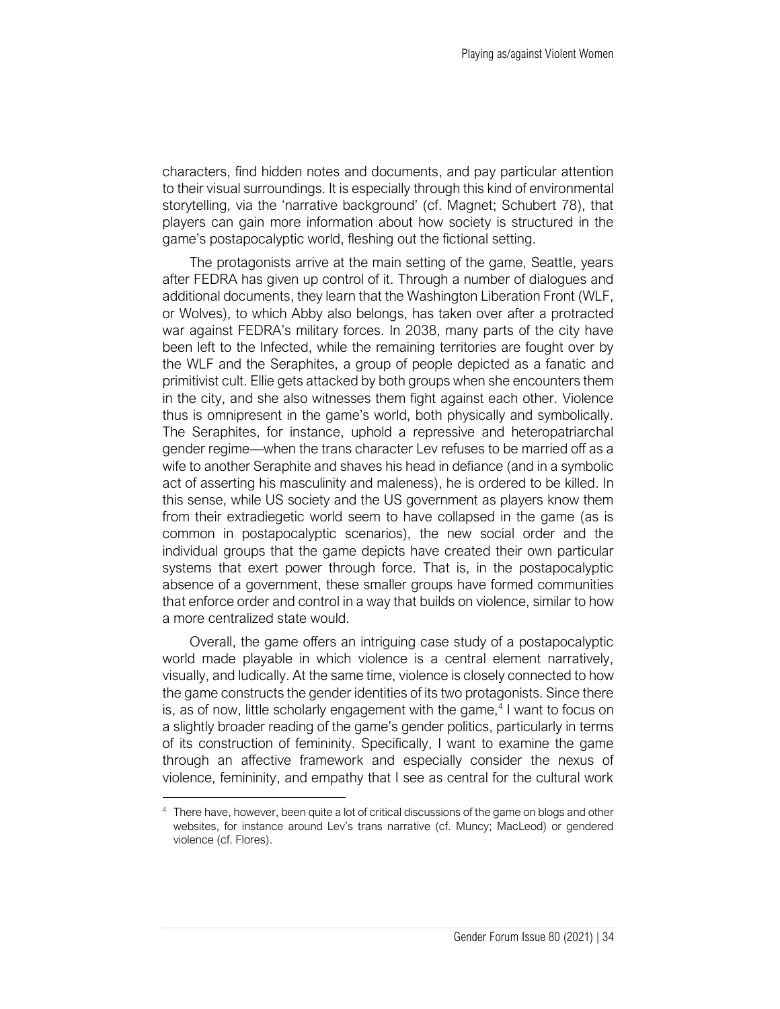characters, find hidden notes and documents, and pay particular attention to their visual surroundings. It is especially through this kind of environmental storytelling, via the 'narrative background' (cf. Magnet; Schubert 78), that players can gain more information about how society is structured in the game's postapocalyptic world, fleshing out the fictional setting.

The protagonists arrive at the main setting of the game, Seattle, years after FEDRA has given up control of it. Through a number of dialogues and additional documents, they learn that the Washington Liberation Front (WLF, or Wolves), to which Abby also belongs, has taken over after a protracted war against FEDRA's military forces. In 2038, many parts of the city have been left to the Infected, while the remaining territories are fought over by the WLF and the Seraphites, a group of people depicted as a fanatic and primitivist cult. Ellie gets attacked by both groups when she encounters them in the city, and she also witnesses them fight against each other. Violence thus is omnipresent in the game's world, both physically and symbolically. The Seraphites, for instance, uphold a repressive and heteropatriarchal gender regime—when the trans character Lev refuses to be married off as a wife to another Seraphite and shaves his head in defiance (and in a symbolic act of asserting his masculinity and maleness), he is ordered to be killed. In this sense, while US society and the US government as players know them from their extradiegetic world seem to have collapsed in the game (as is common in postapocalyptic scenarios), the new social order and the individual groups that the game depicts have created their own particular systems that exert power through force. That is, in the postapocalyptic absence of a government, these smaller groups have formed communities that enforce order and control in a way that builds on violence, similar to how a more centralized state would.

Overall, the game offers an intriguing case study of a postapocalyptic world made playable in which violence is a central element narratively, visually, and ludically. At the same time, violence is closely connected to how the game constructs the gender identities of its two protagonists. Since there is, as of now, little scholarly engagement with the game, $4$  I want to focus on a slightly broader reading of the game's gender politics, particularly in terms of its construction of femininity. Specifically, I want to examine the game through an affective framework and especially consider the nexus of violence, femininity, and empathy that I see as central for the cultural work

<sup>&</sup>lt;sup>4</sup> There have, however, been quite a lot of critical discussions of the game on blogs and other websites, for instance around Lev's trans narrative (cf. Muncy; MacLeod) or gendered violence (cf. Flores).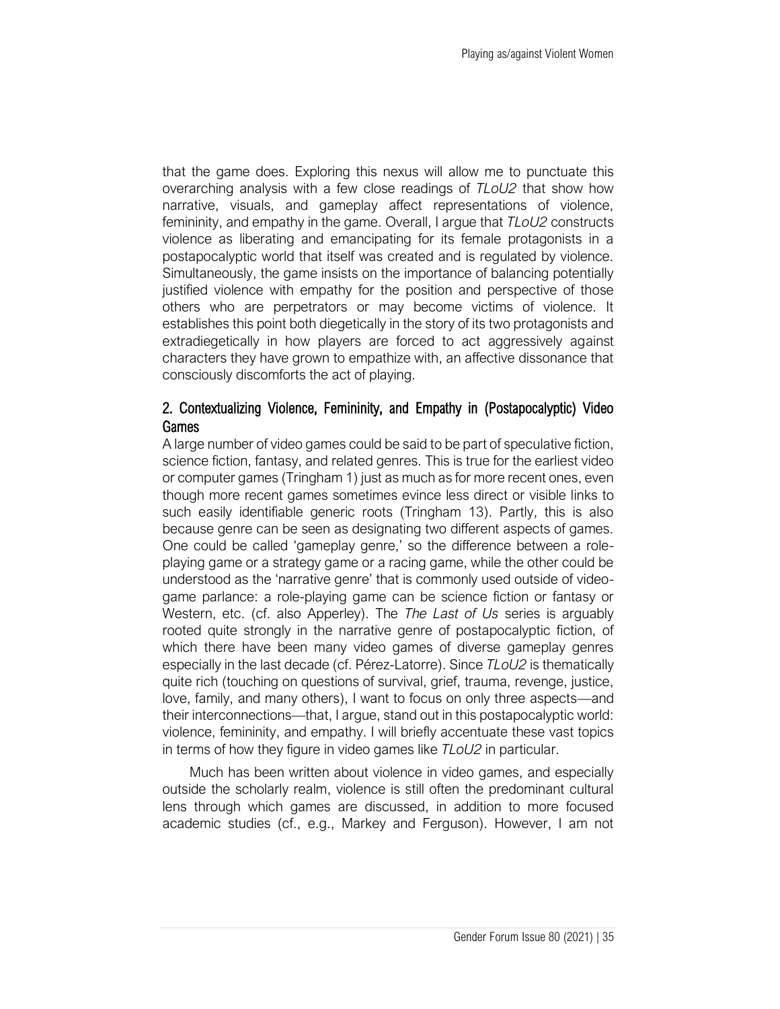that the game does. Exploring this nexus will allow me to punctuate this overarching analysis with a few close readings of *TLoU2* that show how narrative, visuals, and gameplay affect representations of violence, femininity, and empathy in the game. Overall, I argue that *TLoU2* constructs violence as liberating and emancipating for its female protagonists in a postapocalyptic world that itself was created and is regulated by violence. Simultaneously, the game insists on the importance of balancing potentially justified violence with empathy for the position and perspective of those others who are perpetrators or may become victims of violence. It establishes this point both diegetically in the story of its two protagonists and extradiegetically in how players are forced to act aggressively against characters they have grown to empathize with, an affective dissonance that consciously discomforts the act of playing.

## 2. Contextualizing Violence, Femininity, and Empathy in (Postapocalyptic) Video Games

A large number of video games could be said to be part of speculative fiction, science fiction, fantasy, and related genres. This is true for the earliest video or computer games (Tringham 1) just as much as for more recent ones, even though more recent games sometimes evince less direct or visible links to such easily identifiable generic roots (Tringham 13). Partly, this is also because genre can be seen as designating two different aspects of games. One could be called 'gameplay genre,' so the difference between a roleplaying game or a strategy game or a racing game, while the other could be understood as the 'narrative genre' that is commonly used outside of videogame parlance: a role-playing game can be science fiction or fantasy or Western, etc. (cf. also Apperley). The *The Last of Us* series is arguably rooted quite strongly in the narrative genre of postapocalyptic fiction, of which there have been many video games of diverse gameplay genres especially in the last decade (cf. Pérez-Latorre). Since *TLoU2* is thematically quite rich (touching on questions of survival, grief, trauma, revenge, justice, love, family, and many others), I want to focus on only three aspects—and their interconnections—that, I argue, stand out in this postapocalyptic world: violence, femininity, and empathy. I will briefly accentuate these vast topics in terms of how they figure in video games like *TLoU2* in particular.

Much has been written about violence in video games, and especially outside the scholarly realm, violence is still often the predominant cultural lens through which games are discussed, in addition to more focused academic studies (cf., e.g., Markey and Ferguson). However, I am not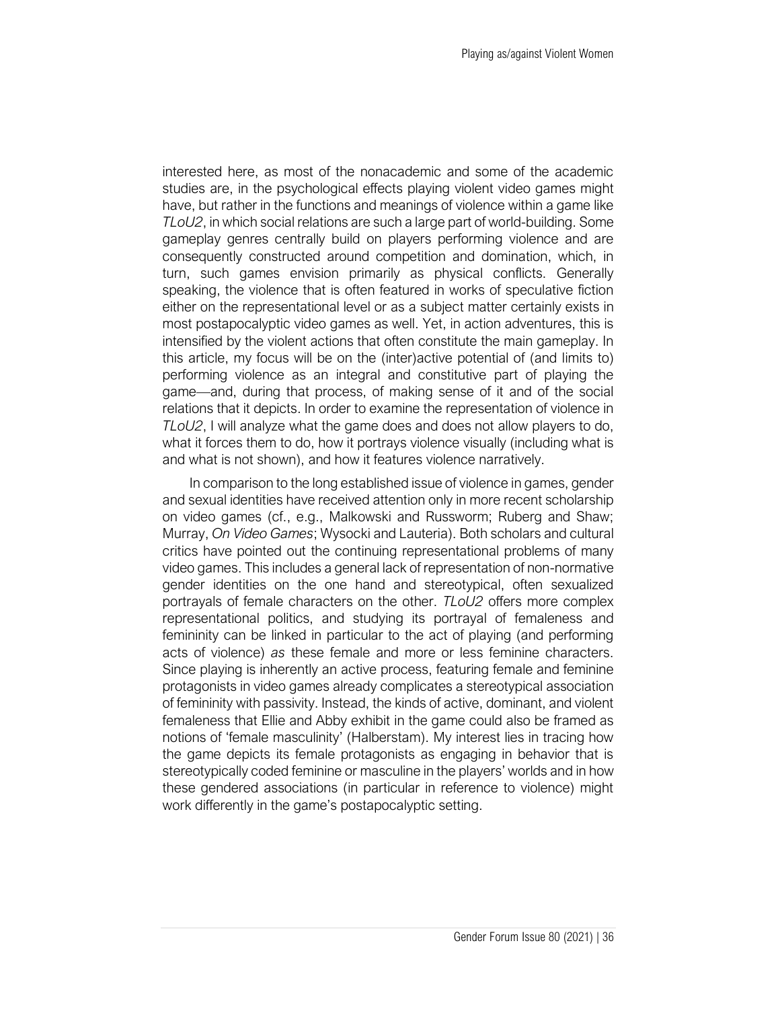interested here, as most of the nonacademic and some of the academic studies are, in the psychological effects playing violent video games might have, but rather in the functions and meanings of violence within a game like *TLoU2*, in which social relations are such a large part of world-building. Some gameplay genres centrally build on players performing violence and are consequently constructed around competition and domination, which, in turn, such games envision primarily as physical conflicts. Generally speaking, the violence that is often featured in works of speculative fiction either on the representational level or as a subject matter certainly exists in most postapocalyptic video games as well. Yet, in action adventures, this is intensified by the violent actions that often constitute the main gameplay. In this article, my focus will be on the (inter)active potential of (and limits to) performing violence as an integral and constitutive part of playing the game—and, during that process, of making sense of it and of the social relations that it depicts. In order to examine the representation of violence in *TLoU2*, I will analyze what the game does and does not allow players to do, what it forces them to do, how it portrays violence visually (including what is and what is not shown), and how it features violence narratively.

In comparison to the long established issue of violence in games, gender and sexual identities have received attention only in more recent scholarship on video games (cf., e.g., Malkowski and Russworm; Ruberg and Shaw; Murray, *On Video Games*; Wysocki and Lauteria). Both scholars and cultural critics have pointed out the continuing representational problems of many video games. This includes a general lack of representation of non-normative gender identities on the one hand and stereotypical, often sexualized portrayals of female characters on the other. *TLoU2* offers more complex representational politics, and studying its portrayal of femaleness and femininity can be linked in particular to the act of playing (and performing acts of violence) *as* these female and more or less feminine characters. Since playing is inherently an active process, featuring female and feminine protagonists in video games already complicates a stereotypical association of femininity with passivity. Instead, the kinds of active, dominant, and violent femaleness that Ellie and Abby exhibit in the game could also be framed as notions of 'female masculinity' (Halberstam). My interest lies in tracing how the game depicts its female protagonists as engaging in behavior that is stereotypically coded feminine or masculine in the players' worlds and in how these gendered associations (in particular in reference to violence) might work differently in the game's postapocalyptic setting.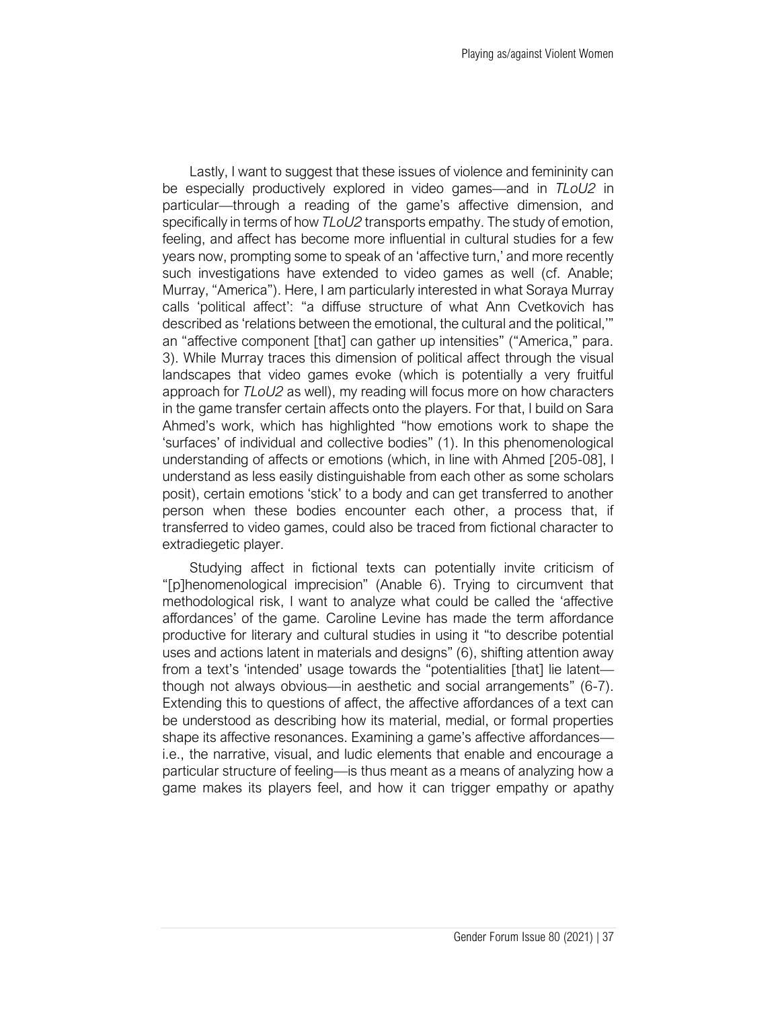Lastly, I want to suggest that these issues of violence and femininity can be especially productively explored in video games—and in *TLoU2* in particular—through a reading of the game's affective dimension, and specifically in terms of how *TLoU2* transports empathy. The study of emotion, feeling, and affect has become more influential in cultural studies for a few years now, prompting some to speak of an 'affective turn,' and more recently such investigations have extended to video games as well (cf. Anable; Murray, "America"). Here, I am particularly interested in what Soraya Murray calls 'political affect': "a diffuse structure of what Ann Cvetkovich has described as 'relations between the emotional, the cultural and the political,'" an "affective component [that] can gather up intensities" ("America," para. 3). While Murray traces this dimension of political affect through the visual landscapes that video games evoke (which is potentially a very fruitful approach for *TLoU2* as well), my reading will focus more on how characters in the game transfer certain affects onto the players. For that, I build on Sara Ahmed's work, which has highlighted "how emotions work to shape the 'surfaces' of individual and collective bodies" (1). In this phenomenological understanding of affects or emotions (which, in line with Ahmed [205-08], I understand as less easily distinguishable from each other as some scholars posit), certain emotions 'stick' to a body and can get transferred to another person when these bodies encounter each other, a process that, if transferred to video games, could also be traced from fictional character to extradiegetic player.

Studying affect in fictional texts can potentially invite criticism of "[p]henomenological imprecision" (Anable 6). Trying to circumvent that methodological risk, I want to analyze what could be called the 'affective affordances' of the game. Caroline Levine has made the term affordance productive for literary and cultural studies in using it "to describe potential uses and actions latent in materials and designs" (6), shifting attention away from a text's 'intended' usage towards the "potentialities [that] lie latent though not always obvious—in aesthetic and social arrangements" (6-7). Extending this to questions of affect, the affective affordances of a text can be understood as describing how its material, medial, or formal properties shape its affective resonances. Examining a game's affective affordances i.e., the narrative, visual, and ludic elements that enable and encourage a particular structure of feeling—is thus meant as a means of analyzing how a game makes its players feel, and how it can trigger empathy or apathy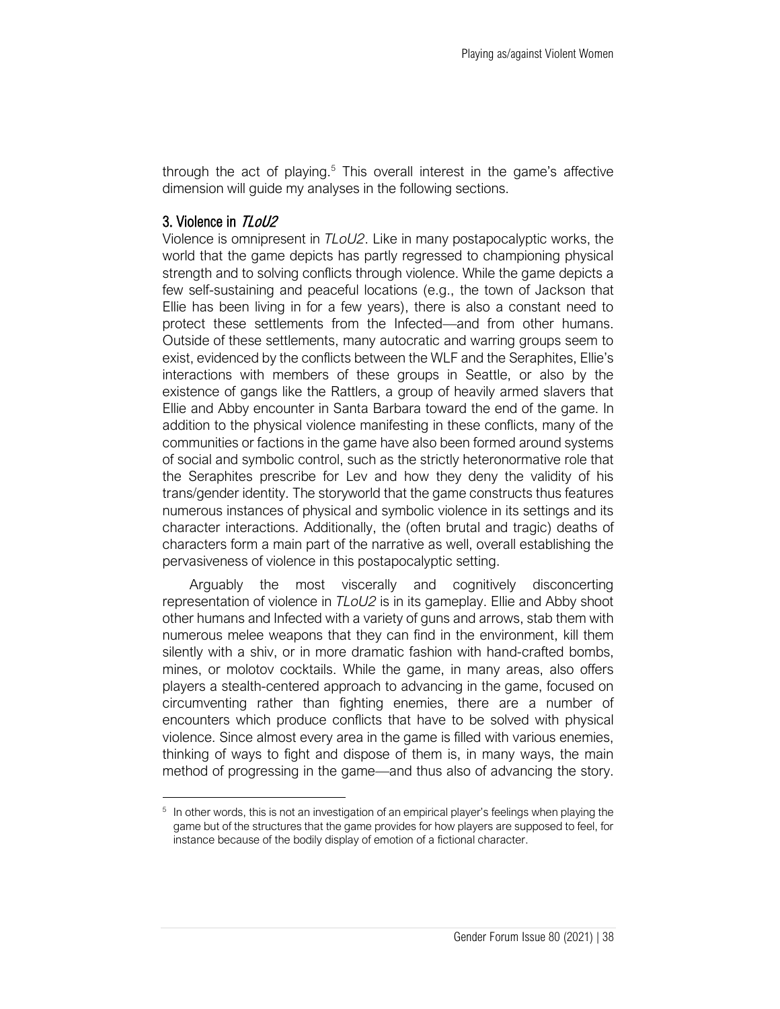through the act of playing.<sup>5</sup> This overall interest in the game's affective dimension will guide my analyses in the following sections.

#### 3. Violence in TLoU2

Violence is omnipresent in *TLoU2*. Like in many postapocalyptic works, the world that the game depicts has partly regressed to championing physical strength and to solving conflicts through violence. While the game depicts a few self-sustaining and peaceful locations (e.g., the town of Jackson that Ellie has been living in for a few years), there is also a constant need to protect these settlements from the Infected—and from other humans. Outside of these settlements, many autocratic and warring groups seem to exist, evidenced by the conflicts between the WLF and the Seraphites, Ellie's interactions with members of these groups in Seattle, or also by the existence of gangs like the Rattlers, a group of heavily armed slavers that Ellie and Abby encounter in Santa Barbara toward the end of the game. In addition to the physical violence manifesting in these conflicts, many of the communities or factions in the game have also been formed around systems of social and symbolic control, such as the strictly heteronormative role that the Seraphites prescribe for Lev and how they deny the validity of his trans/gender identity. The storyworld that the game constructs thus features numerous instances of physical and symbolic violence in its settings and its character interactions. Additionally, the (often brutal and tragic) deaths of characters form a main part of the narrative as well, overall establishing the pervasiveness of violence in this postapocalyptic setting.

Arguably the most viscerally and cognitively disconcerting representation of violence in *TLoU2* is in its gameplay. Ellie and Abby shoot other humans and Infected with a variety of guns and arrows, stab them with numerous melee weapons that they can find in the environment, kill them silently with a shiv, or in more dramatic fashion with hand-crafted bombs, mines, or molotov cocktails. While the game, in many areas, also offers players a stealth-centered approach to advancing in the game, focused on circumventing rather than fighting enemies, there are a number of encounters which produce conflicts that have to be solved with physical violence. Since almost every area in the game is filled with various enemies, thinking of ways to fight and dispose of them is, in many ways, the main method of progressing in the game—and thus also of advancing the story.

<sup>&</sup>lt;sup>5</sup> In other words, this is not an investigation of an empirical player's feelings when playing the game but of the structures that the game provides for how players are supposed to feel, for instance because of the bodily display of emotion of a fictional character.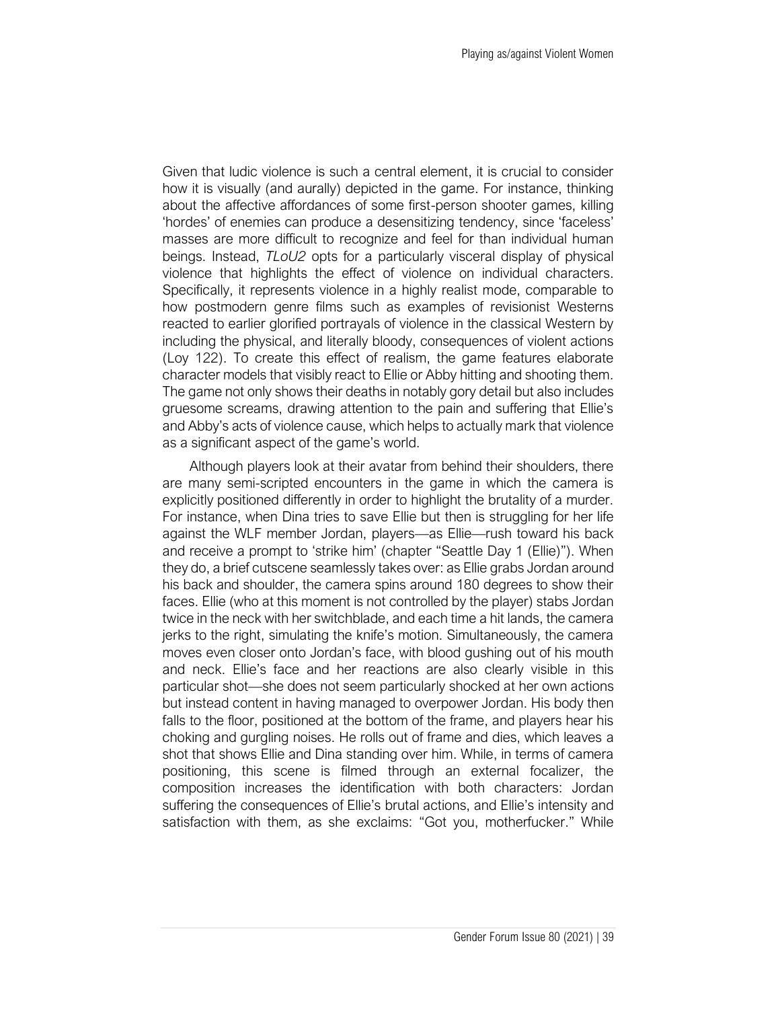Given that ludic violence is such a central element, it is crucial to consider how it is visually (and aurally) depicted in the game. For instance, thinking about the affective affordances of some first-person shooter games, killing 'hordes' of enemies can produce a desensitizing tendency, since 'faceless' masses are more difficult to recognize and feel for than individual human beings. Instead, *TLoU2* opts for a particularly visceral display of physical violence that highlights the effect of violence on individual characters. Specifically, it represents violence in a highly realist mode, comparable to how postmodern genre films such as examples of revisionist Westerns reacted to earlier glorified portrayals of violence in the classical Western by including the physical, and literally bloody, consequences of violent actions (Loy 122). To create this effect of realism, the game features elaborate character models that visibly react to Ellie or Abby hitting and shooting them. The game not only shows their deaths in notably gory detail but also includes gruesome screams, drawing attention to the pain and suffering that Ellie's and Abby's acts of violence cause, which helps to actually mark that violence as a significant aspect of the game's world.

Although players look at their avatar from behind their shoulders, there are many semi-scripted encounters in the game in which the camera is explicitly positioned differently in order to highlight the brutality of a murder. For instance, when Dina tries to save Ellie but then is struggling for her life against the WLF member Jordan, players—as Ellie—rush toward his back and receive a prompt to 'strike him' (chapter "Seattle Day 1 (Ellie)"). When they do, a brief cutscene seamlessly takes over: as Ellie grabs Jordan around his back and shoulder, the camera spins around 180 degrees to show their faces. Ellie (who at this moment is not controlled by the player) stabs Jordan twice in the neck with her switchblade, and each time a hit lands, the camera jerks to the right, simulating the knife's motion. Simultaneously, the camera moves even closer onto Jordan's face, with blood gushing out of his mouth and neck. Ellie's face and her reactions are also clearly visible in this particular shot—she does not seem particularly shocked at her own actions but instead content in having managed to overpower Jordan. His body then falls to the floor, positioned at the bottom of the frame, and players hear his choking and gurgling noises. He rolls out of frame and dies, which leaves a shot that shows Ellie and Dina standing over him. While, in terms of camera positioning, this scene is filmed through an external focalizer, the composition increases the identification with both characters: Jordan suffering the consequences of Ellie's brutal actions, and Ellie's intensity and satisfaction with them, as she exclaims: "Got you, motherfucker." While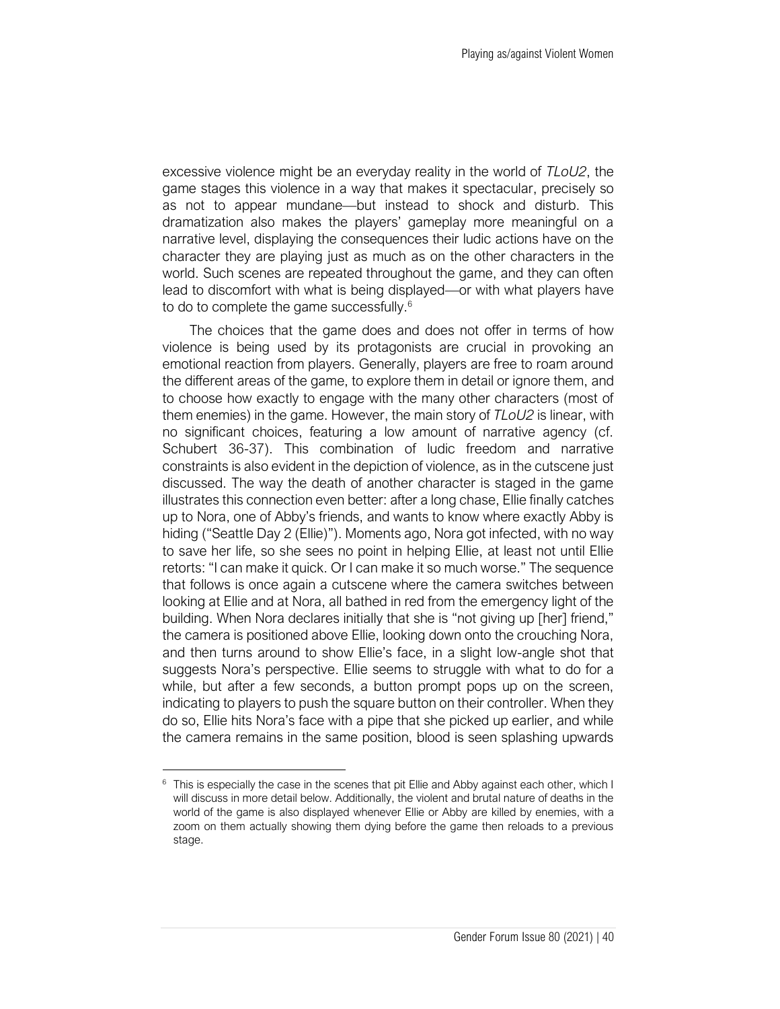excessive violence might be an everyday reality in the world of *TLoU2*, the game stages this violence in a way that makes it spectacular, precisely so as not to appear mundane—but instead to shock and disturb. This dramatization also makes the players' gameplay more meaningful on a narrative level, displaying the consequences their ludic actions have on the character they are playing just as much as on the other characters in the world. Such scenes are repeated throughout the game, and they can often lead to discomfort with what is being displayed—or with what players have to do to complete the game successfully.<sup>6</sup>

The choices that the game does and does not offer in terms of how violence is being used by its protagonists are crucial in provoking an emotional reaction from players. Generally, players are free to roam around the different areas of the game, to explore them in detail or ignore them, and to choose how exactly to engage with the many other characters (most of them enemies) in the game. However, the main story of *TLoU2* is linear, with no significant choices, featuring a low amount of narrative agency (cf. Schubert 36-37). This combination of ludic freedom and narrative constraints is also evident in the depiction of violence, as in the cutscene just discussed. The way the death of another character is staged in the game illustrates this connection even better: after a long chase, Ellie finally catches up to Nora, one of Abby's friends, and wants to know where exactly Abby is hiding ("Seattle Day 2 (Ellie)"). Moments ago, Nora got infected, with no way to save her life, so she sees no point in helping Ellie, at least not until Ellie retorts: "I can make it quick. Or I can make it so much worse." The sequence that follows is once again a cutscene where the camera switches between looking at Ellie and at Nora, all bathed in red from the emergency light of the building. When Nora declares initially that she is "not giving up [her] friend," the camera is positioned above Ellie, looking down onto the crouching Nora, and then turns around to show Ellie's face, in a slight low-angle shot that suggests Nora's perspective. Ellie seems to struggle with what to do for a while, but after a few seconds, a button prompt pops up on the screen, indicating to players to push the square button on their controller. When they do so, Ellie hits Nora's face with a pipe that she picked up earlier, and while the camera remains in the same position, blood is seen splashing upwards

<sup>&</sup>lt;sup>6</sup> This is especially the case in the scenes that pit Ellie and Abby against each other, which I will discuss in more detail below. Additionally, the violent and brutal nature of deaths in the world of the game is also displayed whenever Ellie or Abby are killed by enemies, with a zoom on them actually showing them dying before the game then reloads to a previous stage.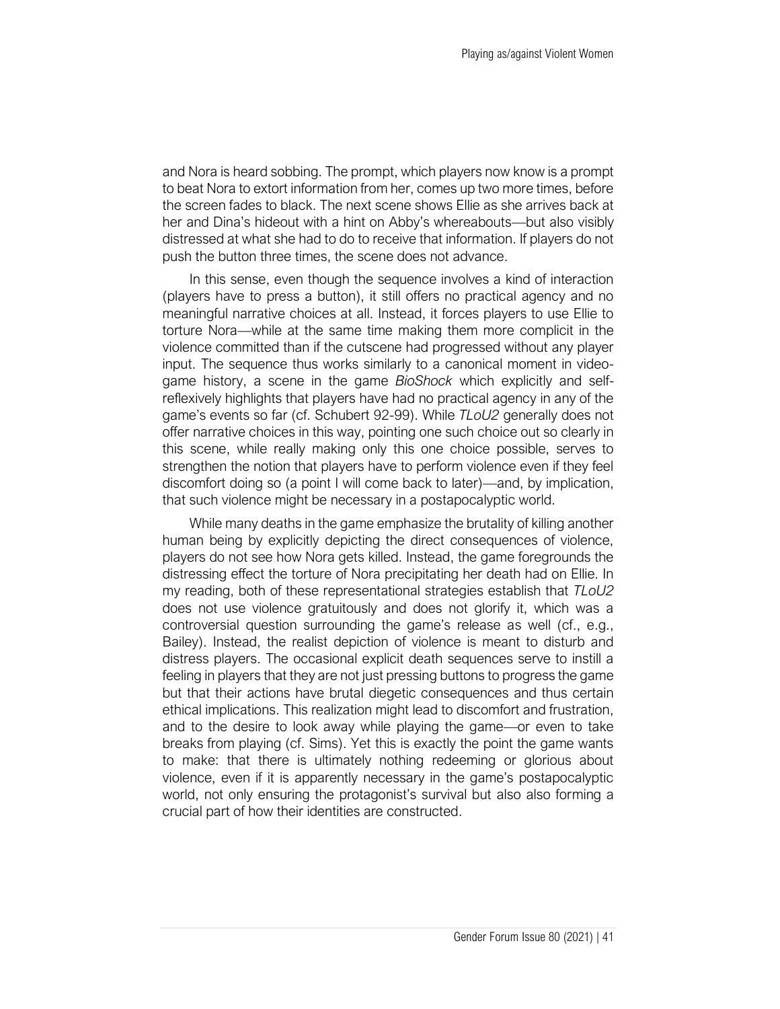and Nora is heard sobbing. The prompt, which players now know is a prompt to beat Nora to extort information from her, comes up two more times, before the screen fades to black. The next scene shows Ellie as she arrives back at her and Dina's hideout with a hint on Abby's whereabouts—but also visibly distressed at what she had to do to receive that information. If players do not push the button three times, the scene does not advance.

In this sense, even though the sequence involves a kind of interaction (players have to press a button), it still offers no practical agency and no meaningful narrative choices at all. Instead, it forces players to use Ellie to torture Nora—while at the same time making them more complicit in the violence committed than if the cutscene had progressed without any player input. The sequence thus works similarly to a canonical moment in videogame history, a scene in the game *BioShock* which explicitly and selfreflexively highlights that players have had no practical agency in any of the game's events so far (cf. Schubert 92-99). While *TLoU2* generally does not offer narrative choices in this way, pointing one such choice out so clearly in this scene, while really making only this one choice possible, serves to strengthen the notion that players have to perform violence even if they feel discomfort doing so (a point I will come back to later)—and, by implication, that such violence might be necessary in a postapocalyptic world.

While many deaths in the game emphasize the brutality of killing another human being by explicitly depicting the direct consequences of violence, players do not see how Nora gets killed. Instead, the game foregrounds the distressing effect the torture of Nora precipitating her death had on Ellie. In my reading, both of these representational strategies establish that *TLoU2* does not use violence gratuitously and does not glorify it, which was a controversial question surrounding the game's release as well (cf., e.g., Bailey). Instead, the realist depiction of violence is meant to disturb and distress players. The occasional explicit death sequences serve to instill a feeling in players that they are not just pressing buttons to progress the game but that their actions have brutal diegetic consequences and thus certain ethical implications. This realization might lead to discomfort and frustration, and to the desire to look away while playing the game—or even to take breaks from playing (cf. Sims). Yet this is exactly the point the game wants to make: that there is ultimately nothing redeeming or glorious about violence, even if it is apparently necessary in the game's postapocalyptic world, not only ensuring the protagonist's survival but also also forming a crucial part of how their identities are constructed.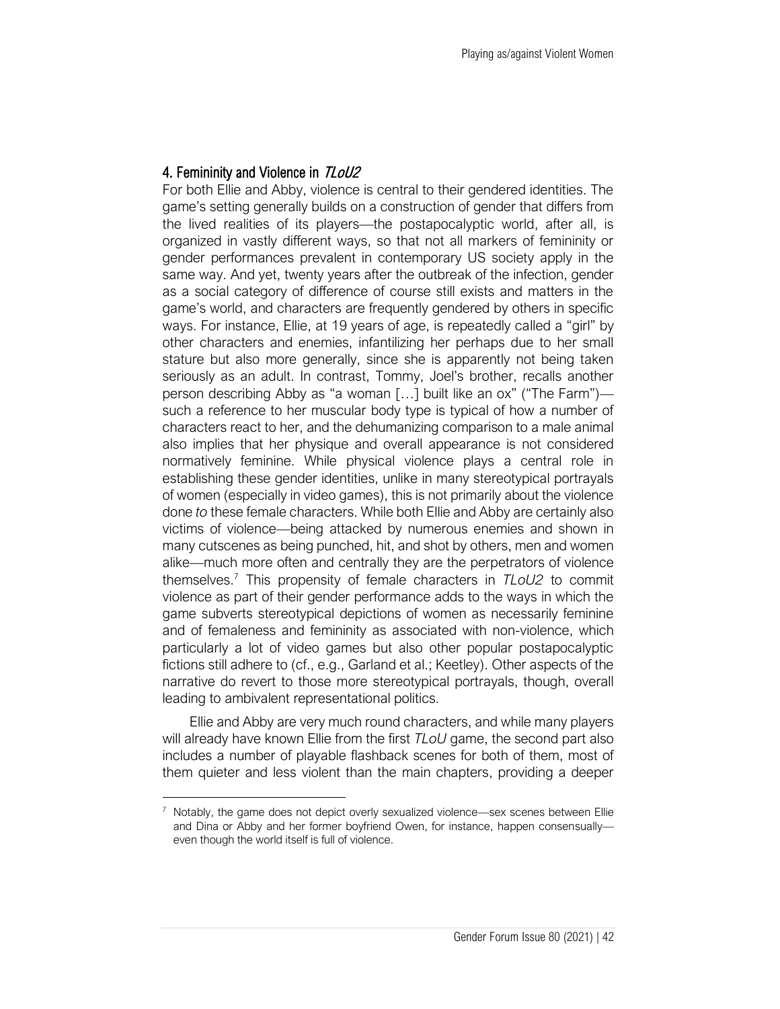### 4. Femininity and Violence in TLoU2

For both Ellie and Abby, violence is central to their gendered identities. The game's setting generally builds on a construction of gender that differs from the lived realities of its players—the postapocalyptic world, after all, is organized in vastly different ways, so that not all markers of femininity or gender performances prevalent in contemporary US society apply in the same way. And yet, twenty years after the outbreak of the infection, gender as a social category of difference of course still exists and matters in the game's world, and characters are frequently gendered by others in specific ways. For instance, Ellie, at 19 years of age, is repeatedly called a "girl" by other characters and enemies, infantilizing her perhaps due to her small stature but also more generally, since she is apparently not being taken seriously as an adult. In contrast, Tommy, Joel's brother, recalls another person describing Abby as "a woman […] built like an ox" ("The Farm") such a reference to her muscular body type is typical of how a number of characters react to her, and the dehumanizing comparison to a male animal also implies that her physique and overall appearance is not considered normatively feminine. While physical violence plays a central role in establishing these gender identities, unlike in many stereotypical portrayals of women (especially in video games), this is not primarily about the violence done *to* these female characters. While both Ellie and Abby are certainly also victims of violence—being attacked by numerous enemies and shown in many cutscenes as being punched, hit, and shot by others, men and women alike—much more often and centrally they are the perpetrators of violence themselves.<sup>7</sup> This propensity of female characters in *TLoU2* to commit violence as part of their gender performance adds to the ways in which the game subverts stereotypical depictions of women as necessarily feminine and of femaleness and femininity as associated with non-violence, which particularly a lot of video games but also other popular postapocalyptic fictions still adhere to (cf., e.g., Garland et al.; Keetley). Other aspects of the narrative do revert to those more stereotypical portrayals, though, overall leading to ambivalent representational politics.

Ellie and Abby are very much round characters, and while many players will already have known Ellie from the first *TLoU* game, the second part also includes a number of playable flashback scenes for both of them, most of them quieter and less violent than the main chapters, providing a deeper

<sup>&</sup>lt;sup>7</sup> Notably, the game does not depict overly sexualized violence—sex scenes between Ellie and Dina or Abby and her former boyfriend Owen, for instance, happen consensually even though the world itself is full of violence.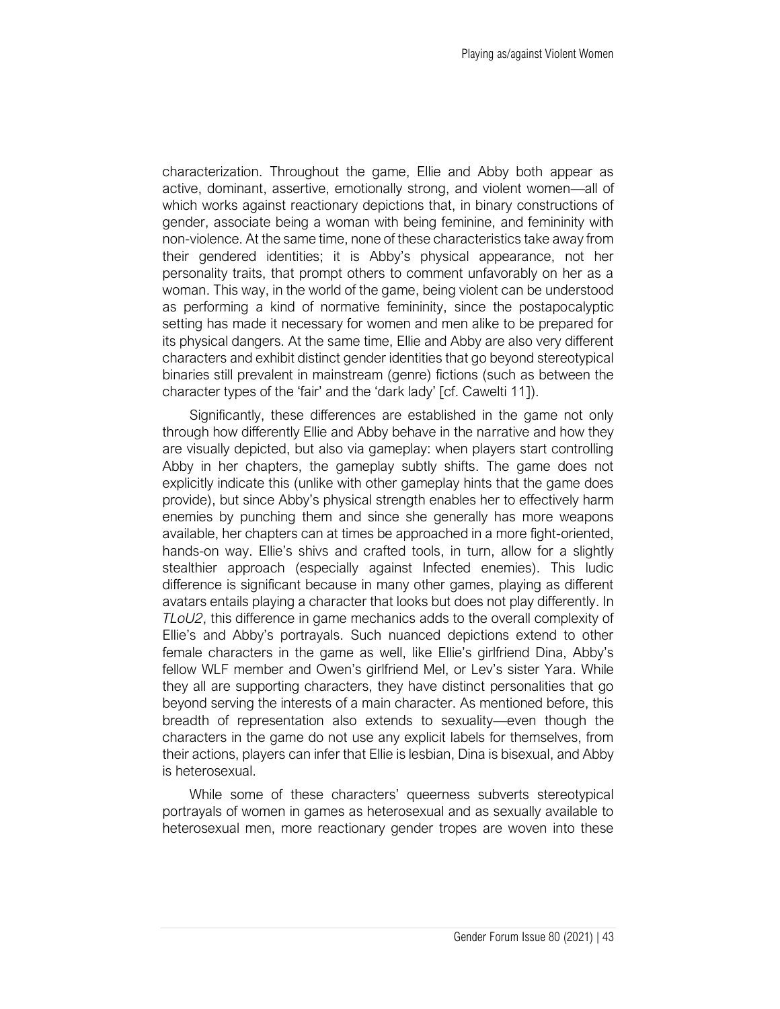characterization. Throughout the game, Ellie and Abby both appear as active, dominant, assertive, emotionally strong, and violent women—all of which works against reactionary depictions that, in binary constructions of gender, associate being a woman with being feminine, and femininity with non-violence. At the same time, none of these characteristics take away from their gendered identities; it is Abby's physical appearance, not her personality traits, that prompt others to comment unfavorably on her as a woman. This way, in the world of the game, being violent can be understood as performing a kind of normative femininity, since the postapocalyptic setting has made it necessary for women and men alike to be prepared for its physical dangers. At the same time, Ellie and Abby are also very different characters and exhibit distinct gender identities that go beyond stereotypical binaries still prevalent in mainstream (genre) fictions (such as between the character types of the 'fair' and the 'dark lady' [cf. Cawelti 11]).

Significantly, these differences are established in the game not only through how differently Ellie and Abby behave in the narrative and how they are visually depicted, but also via gameplay: when players start controlling Abby in her chapters, the gameplay subtly shifts. The game does not explicitly indicate this (unlike with other gameplay hints that the game does provide), but since Abby's physical strength enables her to effectively harm enemies by punching them and since she generally has more weapons available, her chapters can at times be approached in a more fight-oriented, hands-on way. Ellie's shivs and crafted tools, in turn, allow for a slightly stealthier approach (especially against Infected enemies). This ludic difference is significant because in many other games, playing as different avatars entails playing a character that looks but does not play differently. In *TLoU2*, this difference in game mechanics adds to the overall complexity of Ellie's and Abby's portrayals. Such nuanced depictions extend to other female characters in the game as well, like Ellie's girlfriend Dina, Abby's fellow WLF member and Owen's girlfriend Mel, or Lev's sister Yara. While they all are supporting characters, they have distinct personalities that go beyond serving the interests of a main character. As mentioned before, this breadth of representation also extends to sexuality—even though the characters in the game do not use any explicit labels for themselves, from their actions, players can infer that Ellie is lesbian, Dina is bisexual, and Abby is heterosexual.

While some of these characters' queerness subverts stereotypical portrayals of women in games as heterosexual and as sexually available to heterosexual men, more reactionary gender tropes are woven into these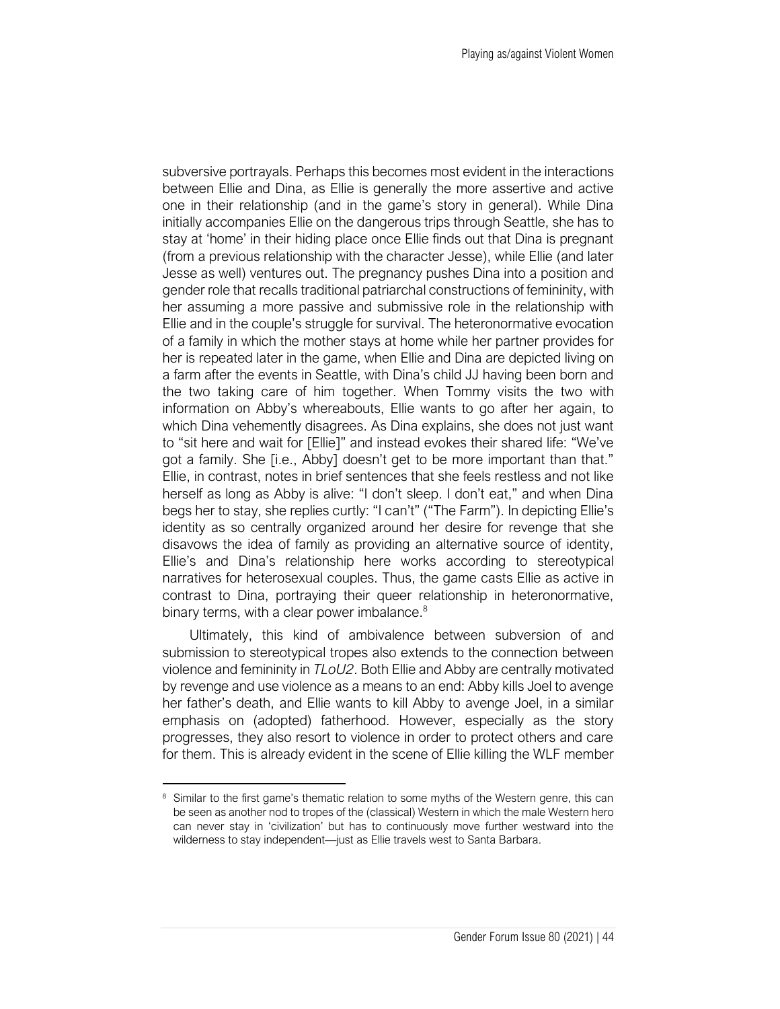subversive portrayals. Perhaps this becomes most evident in the interactions between Ellie and Dina, as Ellie is generally the more assertive and active one in their relationship (and in the game's story in general). While Dina initially accompanies Ellie on the dangerous trips through Seattle, she has to stay at 'home' in their hiding place once Ellie finds out that Dina is pregnant (from a previous relationship with the character Jesse), while Ellie (and later Jesse as well) ventures out. The pregnancy pushes Dina into a position and gender role that recalls traditional patriarchal constructions of femininity, with her assuming a more passive and submissive role in the relationship with Ellie and in the couple's struggle for survival. The heteronormative evocation of a family in which the mother stays at home while her partner provides for her is repeated later in the game, when Ellie and Dina are depicted living on a farm after the events in Seattle, with Dina's child JJ having been born and the two taking care of him together. When Tommy visits the two with information on Abby's whereabouts, Ellie wants to go after her again, to which Dina vehemently disagrees. As Dina explains, she does not just want to "sit here and wait for [Ellie]" and instead evokes their shared life: "We've got a family. She [i.e., Abby] doesn't get to be more important than that." Ellie, in contrast, notes in brief sentences that she feels restless and not like herself as long as Abby is alive: "I don't sleep. I don't eat," and when Dina begs her to stay, she replies curtly: "I can't" ("The Farm"). In depicting Ellie's identity as so centrally organized around her desire for revenge that she disavows the idea of family as providing an alternative source of identity, Ellie's and Dina's relationship here works according to stereotypical narratives for heterosexual couples. Thus, the game casts Ellie as active in contrast to Dina, portraying their queer relationship in heteronormative, binary terms, with a clear power imbalance.<sup>8</sup>

Ultimately, this kind of ambivalence between subversion of and submission to stereotypical tropes also extends to the connection between violence and femininity in *TLoU2*. Both Ellie and Abby are centrally motivated by revenge and use violence as a means to an end: Abby kills Joel to avenge her father's death, and Ellie wants to kill Abby to avenge Joel, in a similar emphasis on (adopted) fatherhood. However, especially as the story progresses, they also resort to violence in order to protect others and care for them. This is already evident in the scene of Ellie killing the WLF member

<sup>&</sup>lt;sup>8</sup> Similar to the first game's thematic relation to some myths of the Western genre, this can be seen as another nod to tropes of the (classical) Western in which the male Western hero can never stay in 'civilization' but has to continuously move further westward into the wilderness to stay independent—just as Ellie travels west to Santa Barbara.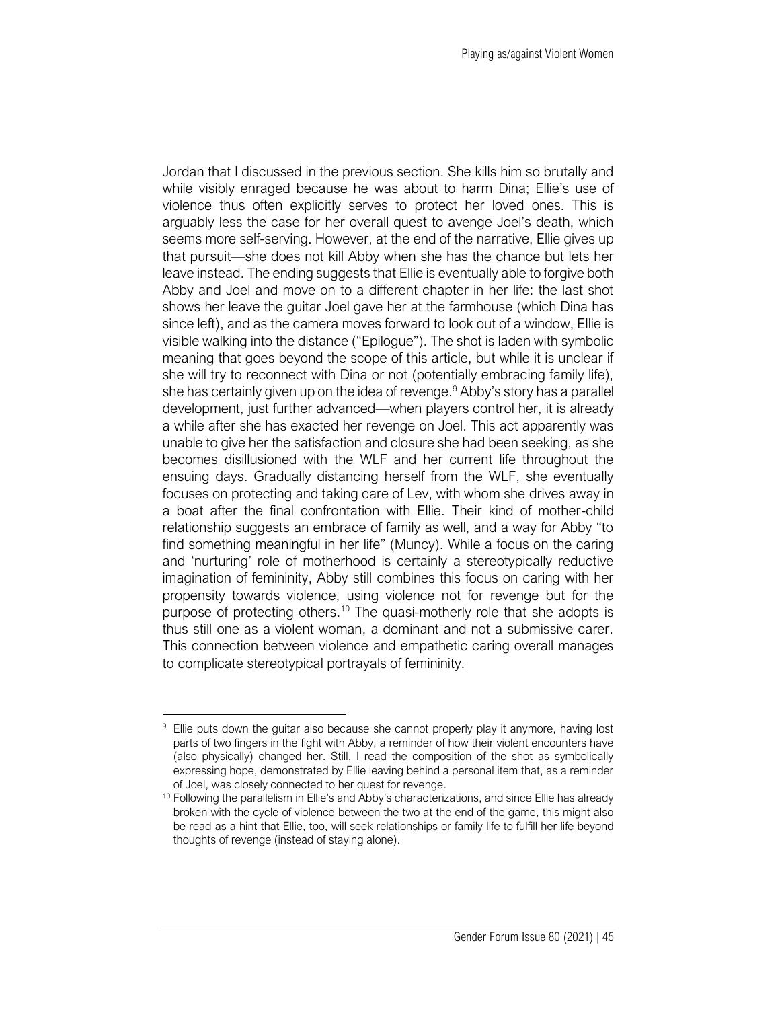Jordan that I discussed in the previous section. She kills him so brutally and while visibly enraged because he was about to harm Dina; Ellie's use of violence thus often explicitly serves to protect her loved ones. This is arguably less the case for her overall quest to avenge Joel's death, which seems more self-serving. However, at the end of the narrative, Ellie gives up that pursuit—she does not kill Abby when she has the chance but lets her leave instead. The ending suggests that Ellie is eventually able to forgive both Abby and Joel and move on to a different chapter in her life: the last shot shows her leave the guitar Joel gave her at the farmhouse (which Dina has since left), and as the camera moves forward to look out of a window, Ellie is visible walking into the distance ("Epilogue"). The shot is laden with symbolic meaning that goes beyond the scope of this article, but while it is unclear if she will try to reconnect with Dina or not (potentially embracing family life), she has certainly given up on the idea of revenge.<sup>9</sup> Abby's story has a parallel development, just further advanced—when players control her, it is already a while after she has exacted her revenge on Joel. This act apparently was unable to give her the satisfaction and closure she had been seeking, as she becomes disillusioned with the WLF and her current life throughout the ensuing days. Gradually distancing herself from the WLF, she eventually focuses on protecting and taking care of Lev, with whom she drives away in a boat after the final confrontation with Ellie. Their kind of mother-child relationship suggests an embrace of family as well, and a way for Abby "to find something meaningful in her life" (Muncy). While a focus on the caring and 'nurturing' role of motherhood is certainly a stereotypically reductive imagination of femininity, Abby still combines this focus on caring with her propensity towards violence, using violence not for revenge but for the purpose of protecting others.<sup>10</sup> The quasi-motherly role that she adopts is thus still one as a violent woman, a dominant and not a submissive carer. This connection between violence and empathetic caring overall manages to complicate stereotypical portrayals of femininity.

Ellie puts down the guitar also because she cannot properly play it anymore, having lost parts of two fingers in the fight with Abby, a reminder of how their violent encounters have (also physically) changed her. Still, I read the composition of the shot as symbolically expressing hope, demonstrated by Ellie leaving behind a personal item that, as a reminder of Joel, was closely connected to her quest for revenge.

<sup>&</sup>lt;sup>10</sup> Following the parallelism in Ellie's and Abby's characterizations, and since Ellie has already broken with the cycle of violence between the two at the end of the game, this might also be read as a hint that Ellie, too, will seek relationships or family life to fulfill her life beyond thoughts of revenge (instead of staying alone).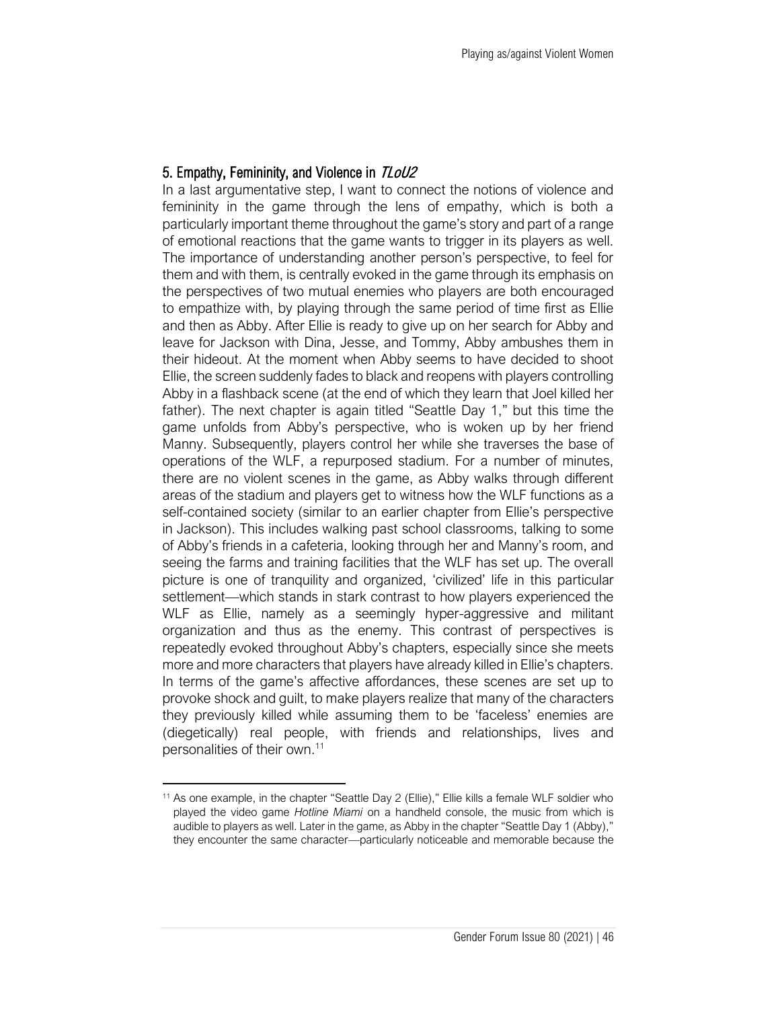#### 5. Empathy, Femininity, and Violence in TLoU2

In a last argumentative step, I want to connect the notions of violence and femininity in the game through the lens of empathy, which is both a particularly important theme throughout the game's story and part of a range of emotional reactions that the game wants to trigger in its players as well. The importance of understanding another person's perspective, to feel for them and with them, is centrally evoked in the game through its emphasis on the perspectives of two mutual enemies who players are both encouraged to empathize with, by playing through the same period of time first as Ellie and then as Abby. After Ellie is ready to give up on her search for Abby and leave for Jackson with Dina, Jesse, and Tommy, Abby ambushes them in their hideout. At the moment when Abby seems to have decided to shoot Ellie, the screen suddenly fades to black and reopens with players controlling Abby in a flashback scene (at the end of which they learn that Joel killed her father). The next chapter is again titled "Seattle Day 1," but this time the game unfolds from Abby's perspective, who is woken up by her friend Manny. Subsequently, players control her while she traverses the base of operations of the WLF, a repurposed stadium. For a number of minutes, there are no violent scenes in the game, as Abby walks through different areas of the stadium and players get to witness how the WLF functions as a self-contained society (similar to an earlier chapter from Ellie's perspective in Jackson). This includes walking past school classrooms, talking to some of Abby's friends in a cafeteria, looking through her and Manny's room, and seeing the farms and training facilities that the WLF has set up. The overall picture is one of tranquility and organized, 'civilized' life in this particular settlement—which stands in stark contrast to how players experienced the WLF as Ellie, namely as a seemingly hyper-aggressive and militant organization and thus as the enemy. This contrast of perspectives is repeatedly evoked throughout Abby's chapters, especially since she meets more and more characters that players have already killed in Ellie's chapters. In terms of the game's affective affordances, these scenes are set up to provoke shock and guilt, to make players realize that many of the characters they previously killed while assuming them to be 'faceless' enemies are (diegetically) real people, with friends and relationships, lives and personalities of their own.<sup>11</sup>

<sup>&</sup>lt;sup>11</sup> As one example, in the chapter "Seattle Day 2 (Ellie)," Ellie kills a female WLF soldier who played the video game *Hotline Miami* on a handheld console, the music from which is audible to players as well. Later in the game, as Abby in the chapter "Seattle Day 1 (Abby)," they encounter the same character—particularly noticeable and memorable because the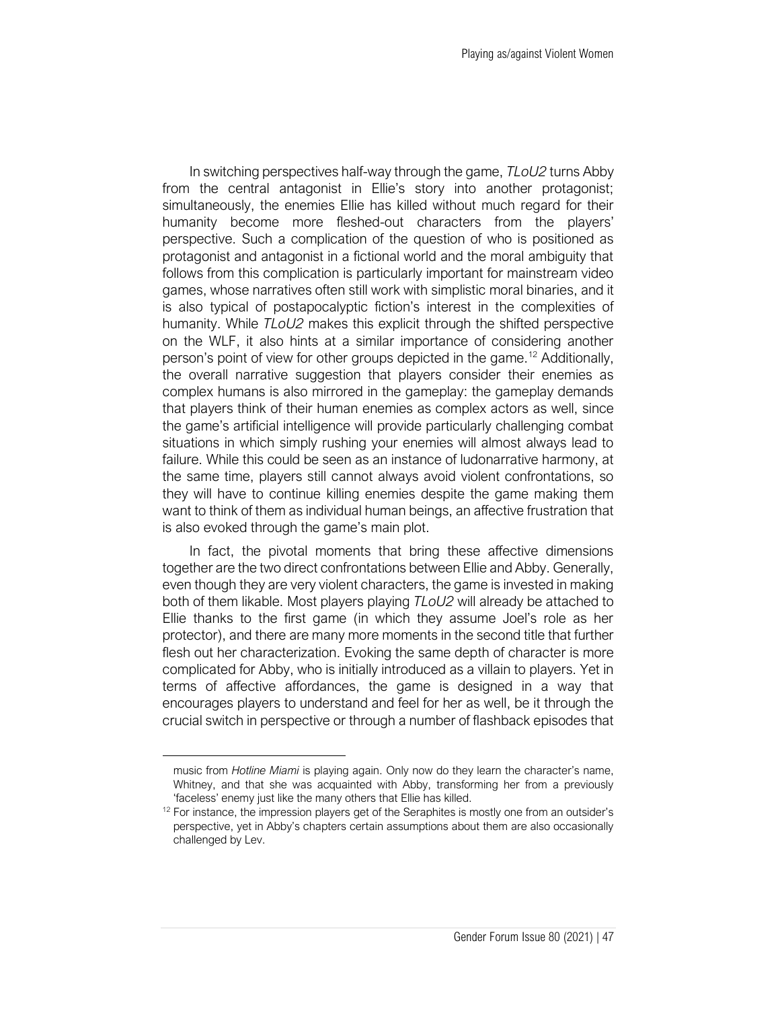In switching perspectives half-way through the game, *TLoU2* turns Abby from the central antagonist in Ellie's story into another protagonist; simultaneously, the enemies Ellie has killed without much regard for their humanity become more fleshed-out characters from the players' perspective. Such a complication of the question of who is positioned as protagonist and antagonist in a fictional world and the moral ambiguity that follows from this complication is particularly important for mainstream video games, whose narratives often still work with simplistic moral binaries, and it is also typical of postapocalyptic fiction's interest in the complexities of humanity. While *TLoU2* makes this explicit through the shifted perspective on the WLF, it also hints at a similar importance of considering another person's point of view for other groups depicted in the game.<sup>12</sup> Additionally, the overall narrative suggestion that players consider their enemies as complex humans is also mirrored in the gameplay: the gameplay demands that players think of their human enemies as complex actors as well, since the game's artificial intelligence will provide particularly challenging combat situations in which simply rushing your enemies will almost always lead to failure. While this could be seen as an instance of ludonarrative harmony, at the same time, players still cannot always avoid violent confrontations, so they will have to continue killing enemies despite the game making them want to think of them as individual human beings, an affective frustration that is also evoked through the game's main plot.

In fact, the pivotal moments that bring these affective dimensions together are the two direct confrontations between Ellie and Abby. Generally, even though they are very violent characters, the game is invested in making both of them likable. Most players playing *TLoU2* will already be attached to Ellie thanks to the first game (in which they assume Joel's role as her protector), and there are many more moments in the second title that further flesh out her characterization. Evoking the same depth of character is more complicated for Abby, who is initially introduced as a villain to players. Yet in terms of affective affordances, the game is designed in a way that encourages players to understand and feel for her as well, be it through the crucial switch in perspective or through a number of flashback episodes that

music from *Hotline Miami* is playing again. Only now do they learn the character's name, Whitney, and that she was acquainted with Abby, transforming her from a previously 'faceless' enemy just like the many others that Ellie has killed.

<sup>&</sup>lt;sup>12</sup> For instance, the impression players get of the Seraphites is mostly one from an outsider's perspective, yet in Abby's chapters certain assumptions about them are also occasionally challenged by Lev.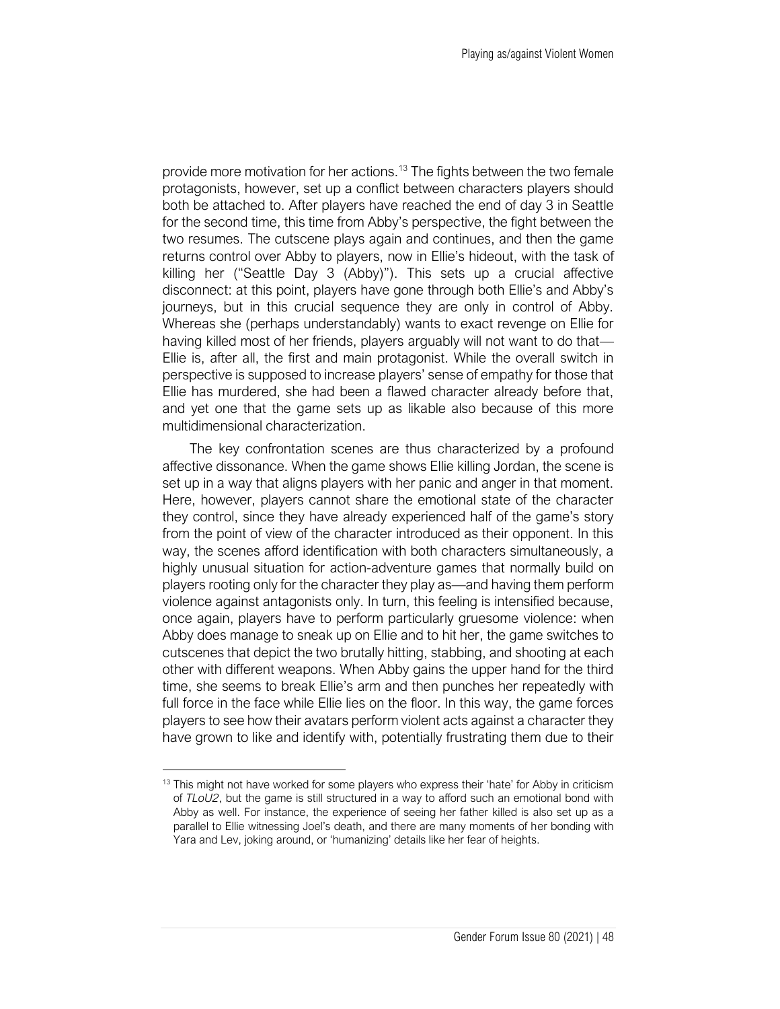provide more motivation for her actions.<sup>13</sup> The fights between the two female protagonists, however, set up a conflict between characters players should both be attached to. After players have reached the end of day 3 in Seattle for the second time, this time from Abby's perspective, the fight between the two resumes. The cutscene plays again and continues, and then the game returns control over Abby to players, now in Ellie's hideout, with the task of killing her ("Seattle Day 3 (Abby)"). This sets up a crucial affective disconnect: at this point, players have gone through both Ellie's and Abby's journeys, but in this crucial sequence they are only in control of Abby. Whereas she (perhaps understandably) wants to exact revenge on Ellie for having killed most of her friends, players arguably will not want to do that— Ellie is, after all, the first and main protagonist. While the overall switch in perspective is supposed to increase players' sense of empathy for those that Ellie has murdered, she had been a flawed character already before that, and yet one that the game sets up as likable also because of this more multidimensional characterization.

The key confrontation scenes are thus characterized by a profound affective dissonance. When the game shows Ellie killing Jordan, the scene is set up in a way that aligns players with her panic and anger in that moment. Here, however, players cannot share the emotional state of the character they control, since they have already experienced half of the game's story from the point of view of the character introduced as their opponent. In this way, the scenes afford identification with both characters simultaneously, a highly unusual situation for action-adventure games that normally build on players rooting only for the character they play as—and having them perform violence against antagonists only. In turn, this feeling is intensified because, once again, players have to perform particularly gruesome violence: when Abby does manage to sneak up on Ellie and to hit her, the game switches to cutscenes that depict the two brutally hitting, stabbing, and shooting at each other with different weapons. When Abby gains the upper hand for the third time, she seems to break Ellie's arm and then punches her repeatedly with full force in the face while Ellie lies on the floor. In this way, the game forces players to see how their avatars perform violent acts against a character they have grown to like and identify with, potentially frustrating them due to their

 $13$  This might not have worked for some players who express their 'hate' for Abby in criticism of *TLoU2*, but the game is still structured in a way to afford such an emotional bond with Abby as well. For instance, the experience of seeing her father killed is also set up as a parallel to Ellie witnessing Joel's death, and there are many moments of her bonding with Yara and Lev, joking around, or 'humanizing' details like her fear of heights.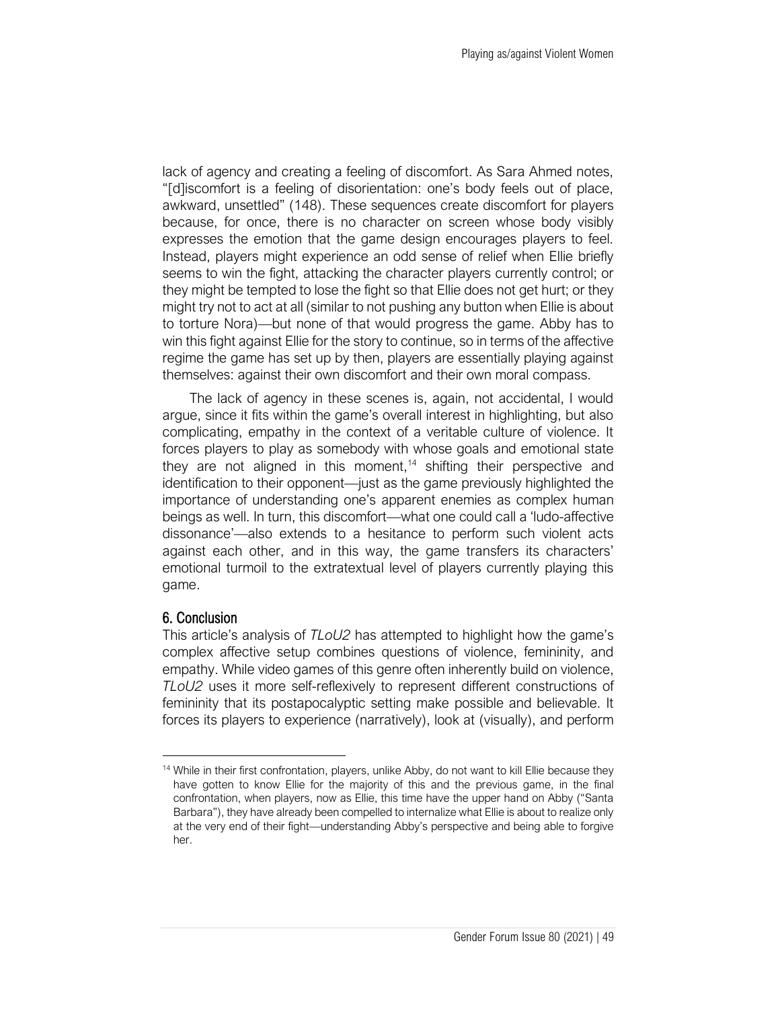lack of agency and creating a feeling of discomfort. As Sara Ahmed notes, "[d]iscomfort is a feeling of disorientation: one's body feels out of place, awkward, unsettled" (148). These sequences create discomfort for players because, for once, there is no character on screen whose body visibly expresses the emotion that the game design encourages players to feel. Instead, players might experience an odd sense of relief when Ellie briefly seems to win the fight, attacking the character players currently control; or they might be tempted to lose the fight so that Ellie does not get hurt; or they might try not to act at all (similar to not pushing any button when Ellie is about to torture Nora)—but none of that would progress the game. Abby has to win this fight against Ellie for the story to continue, so in terms of the affective regime the game has set up by then, players are essentially playing against themselves: against their own discomfort and their own moral compass.

The lack of agency in these scenes is, again, not accidental, I would argue, since it fits within the game's overall interest in highlighting, but also complicating, empathy in the context of a veritable culture of violence. It forces players to play as somebody with whose goals and emotional state they are not aligned in this moment,<sup>14</sup> shifting their perspective and identification to their opponent—just as the game previously highlighted the importance of understanding one's apparent enemies as complex human beings as well. In turn, this discomfort—what one could call a 'ludo-affective dissonance'—also extends to a hesitance to perform such violent acts against each other, and in this way, the game transfers its characters' emotional turmoil to the extratextual level of players currently playing this game.

#### 6. Conclusion

This article's analysis of *TLoU2* has attempted to highlight how the game's complex affective setup combines questions of violence, femininity, and empathy. While video games of this genre often inherently build on violence, *TLoU2* uses it more self-reflexively to represent different constructions of femininity that its postapocalyptic setting make possible and believable. It forces its players to experience (narratively), look at (visually), and perform

<sup>&</sup>lt;sup>14</sup> While in their first confrontation, players, unlike Abby, do not want to kill Ellie because they have gotten to know Ellie for the majority of this and the previous game, in the final confrontation, when players, now as Ellie, this time have the upper hand on Abby ("Santa Barbara"), they have already been compelled to internalize what Ellie is about to realize only at the very end of their fight—understanding Abby's perspective and being able to forgive her.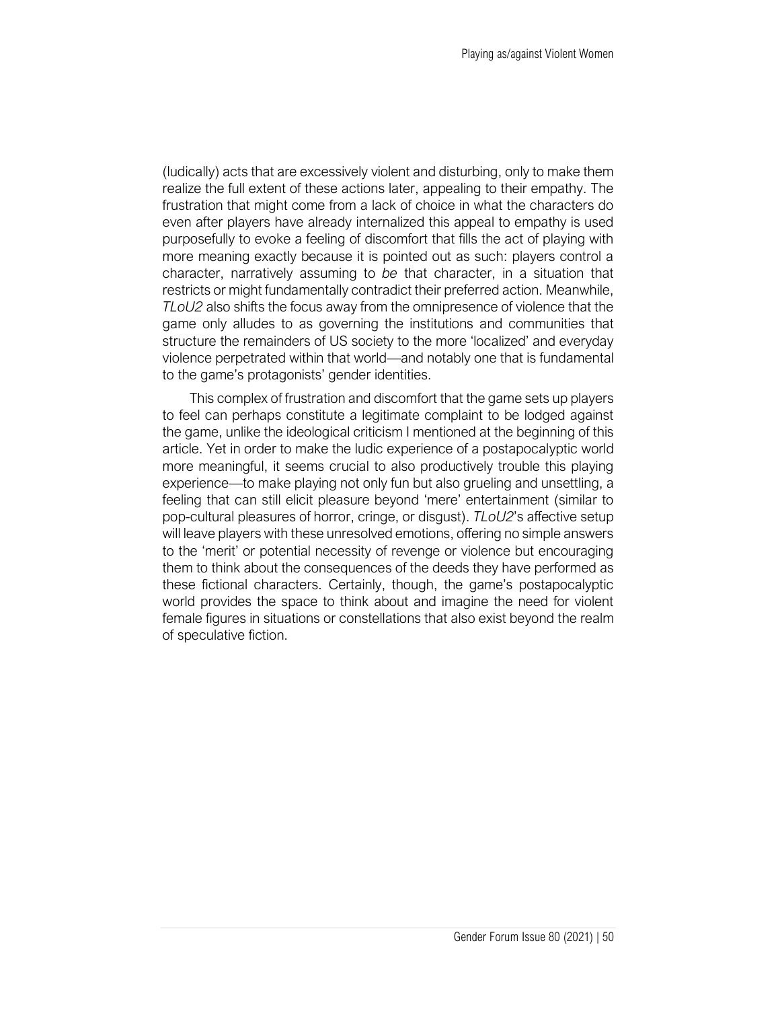(ludically) acts that are excessively violent and disturbing, only to make them realize the full extent of these actions later, appealing to their empathy. The frustration that might come from a lack of choice in what the characters do even after players have already internalized this appeal to empathy is used purposefully to evoke a feeling of discomfort that fills the act of playing with more meaning exactly because it is pointed out as such: players control a character, narratively assuming to *be* that character, in a situation that restricts or might fundamentally contradict their preferred action. Meanwhile, *TLoU2* also shifts the focus away from the omnipresence of violence that the game only alludes to as governing the institutions and communities that structure the remainders of US society to the more 'localized' and everyday violence perpetrated within that world—and notably one that is fundamental to the game's protagonists' gender identities.

This complex of frustration and discomfort that the game sets up players to feel can perhaps constitute a legitimate complaint to be lodged against the game, unlike the ideological criticism I mentioned at the beginning of this article. Yet in order to make the ludic experience of a postapocalyptic world more meaningful, it seems crucial to also productively trouble this playing experience—to make playing not only fun but also grueling and unsettling, a feeling that can still elicit pleasure beyond 'mere' entertainment (similar to pop-cultural pleasures of horror, cringe, or disgust). *TLoU2*'s affective setup will leave players with these unresolved emotions, offering no simple answers to the 'merit' or potential necessity of revenge or violence but encouraging them to think about the consequences of the deeds they have performed as these fictional characters. Certainly, though, the game's postapocalyptic world provides the space to think about and imagine the need for violent female figures in situations or constellations that also exist beyond the realm of speculative fiction.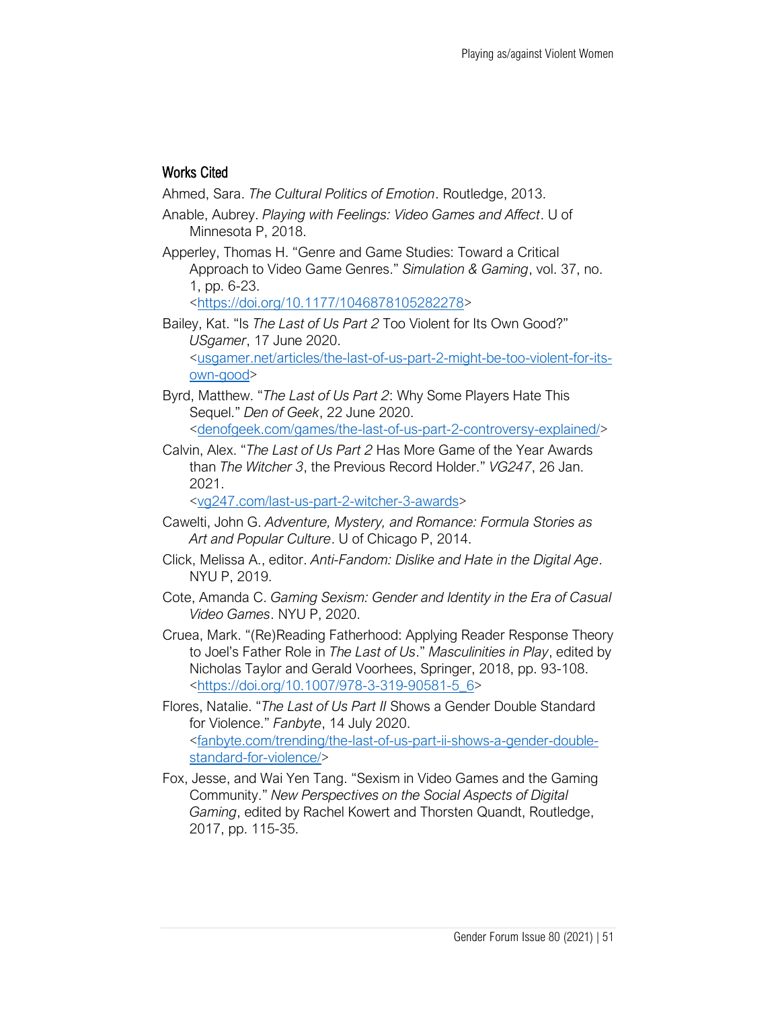## Works Cited

Ahmed, Sara. *The Cultural Politics of Emotion*. Routledge, 2013.

- Anable, Aubrey. *Playing with Feelings: Video Games and Affect*. U of Minnesota P, 2018.
- Apperley, Thomas H. "Genre and Game Studies: Toward a Critical Approach to Video Game Genres." *Simulation & Gaming*, vol. 37, no. 1, pp. 6-23. [<https://doi.org/10.1177/1046878105282278>](https://doi.org/10.1177/1046878105282278)

Bailey, Kat. "Is *The Last of Us Part 2* Too Violent for Its Own Good?" *USgamer*, 17 June 2020. [<usgamer.net/articles/the-last-of-us-part-2-might-be-too-violent-for-its](http://www.usgamer.net/articles/the-last-of-us-part-2-might-be-too-violent-for-its-own-good)[own-good>](http://www.usgamer.net/articles/the-last-of-us-part-2-might-be-too-violent-for-its-own-good)

Byrd, Matthew. "*The Last of Us Part 2*: Why Some Players Hate This Sequel." *Den of Geek*, 22 June 2020. [<denofgeek.com/games/the-last-of-us-part-2-controversy-explained/>](http://www.denofgeek.com/games/the-last-of-us-part-2-controversy-explained/)

Calvin, Alex. "*The Last of Us Part 2* Has More Game of the Year Awards than *The Witcher 3*, the Previous Record Holder." *VG247*, 26 Jan. 2021.

[<vg247.com/last-us-part-2-witcher-3-awards>](http://www.vg247.com/last-us-part-2-witcher-3-awards)

- Cawelti, John G. *Adventure, Mystery, and Romance: Formula Stories as Art and Popular Culture*. U of Chicago P, 2014.
- Click, Melissa A., editor. *Anti-Fandom: Dislike and Hate in the Digital Age*. NYU P, 2019.
- Cote, Amanda C. *Gaming Sexism: Gender and Identity in the Era of Casual Video Games*. NYU P, 2020.
- Cruea, Mark. "(Re)Reading Fatherhood: Applying Reader Response Theory to Joel's Father Role in *The Last of Us*." *Masculinities in Play*, edited by Nicholas Taylor and Gerald Voorhees, Springer, 2018, pp. 93-108. [<https://doi.org/10.1007/978-3-319-90581-5\\_6>](https://doi.org/10.1007/978-3-319-90581-5_6)
- Flores, Natalie. "*The Last of Us Part II* Shows a Gender Double Standard for Violence." *Fanbyte*, 14 July 2020. [<fanbyte.com/trending/the-last-of-us-part-ii-shows-a-gender-double](http://www.fanbyte.com/trending/the-last-of-us-part-ii-shows-a-gender-double-standard-for-violence/)[standard-for-violence/>](http://www.fanbyte.com/trending/the-last-of-us-part-ii-shows-a-gender-double-standard-for-violence/)
- Fox, Jesse, and Wai Yen Tang. "Sexism in Video Games and the Gaming Community." *New Perspectives on the Social Aspects of Digital Gaming*, edited by Rachel Kowert and Thorsten Quandt, Routledge, 2017, pp. 115-35.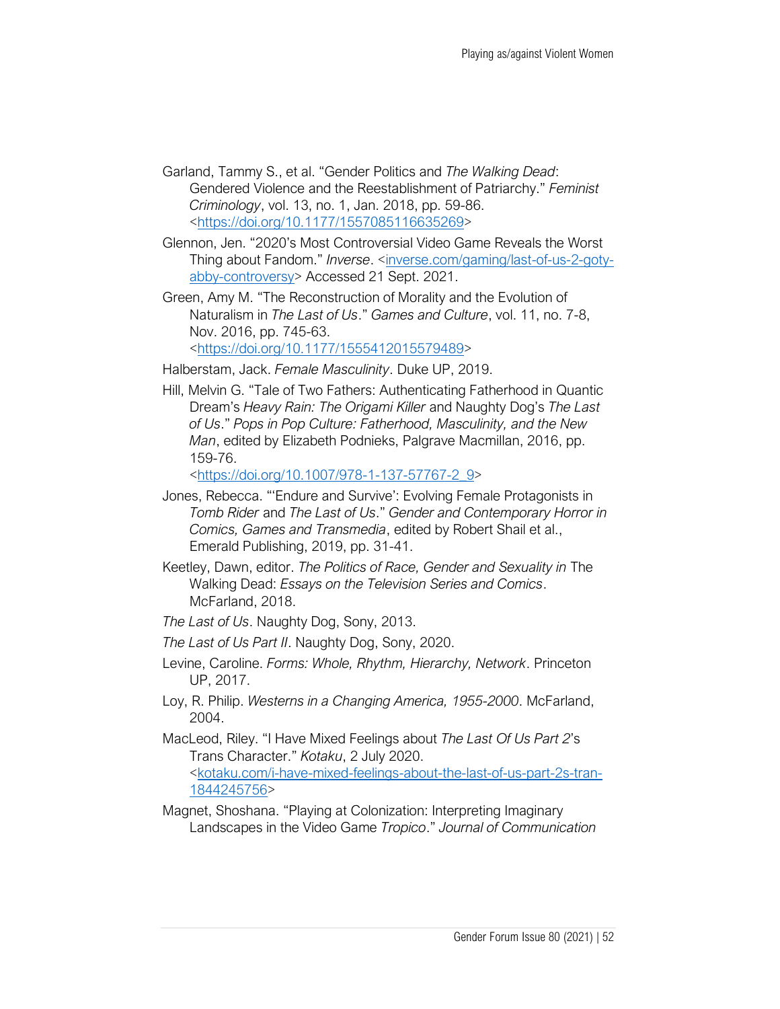- Garland, Tammy S., et al. "Gender Politics and *The Walking Dead*: Gendered Violence and the Reestablishment of Patriarchy." *Feminist Criminology*, vol. 13, no. 1, Jan. 2018, pp. 59-86. [<https://doi.org/10.1177/1557085116635269>](https://doi.org/10.1177/1557085116635269)
- Glennon, Jen. "2020's Most Controversial Video Game Reveals the Worst Thing about Fandom." *Inverse*. [<inverse.com/gaming/last-of-us-2-goty](http://www.inverse.com/gaming/last-of-us-2-goty-abby-controversy)[abby-controversy>](http://www.inverse.com/gaming/last-of-us-2-goty-abby-controversy) Accessed 21 Sept. 2021.
- Green, Amy M. "The Reconstruction of Morality and the Evolution of Naturalism in *The Last of Us*." *Games and Culture*, vol. 11, no. 7-8, Nov. 2016, pp. 745-63. [<https://doi.org/10.1177/1555412015579489>](https://doi.org/10.1177/1555412015579489)
- Halberstam, Jack. *Female Masculinity*. Duke UP, 2019.
- Hill, Melvin G. "Tale of Two Fathers: Authenticating Fatherhood in Quantic Dream's *Heavy Rain: The Origami Killer* and Naughty Dog's *The Last of Us*." *Pops in Pop Culture: Fatherhood, Masculinity, and the New Man*, edited by Elizabeth Podnieks, Palgrave Macmillan, 2016, pp. 159-76.

[<https://doi.org/10.1007/978-1-137-57767-2\\_9>](https://doi.org/10.1007/978-1-137-57767-2_9)

- Jones, Rebecca. "'Endure and Survive': Evolving Female Protagonists in *Tomb Rider* and *The Last of Us*." *Gender and Contemporary Horror in Comics, Games and Transmedia*, edited by Robert Shail et al., Emerald Publishing, 2019, pp. 31-41.
- Keetley, Dawn, editor. *The Politics of Race, Gender and Sexuality in* The Walking Dead: *Essays on the Television Series and Comics*. McFarland, 2018.
- *The Last of Us*. Naughty Dog, Sony, 2013.
- *The Last of Us Part II*. Naughty Dog, Sony, 2020.
- Levine, Caroline. *Forms: Whole, Rhythm, Hierarchy, Network*. Princeton UP, 2017.
- Loy, R. Philip. *Westerns in a Changing America, 1955-2000*. McFarland, 2004.
- MacLeod, Riley. "I Have Mixed Feelings about *The Last Of Us Part 2*'s Trans Character." *Kotaku*, 2 July 2020. [<kotaku.com/i-have-mixed-feelings-about-the-last-of-us-part-2s-tran-](http://www.kotaku.com/i-have-mixed-feelings-about-the-last-of-us-part-2s-tran-1844245756)[1844245756>](http://www.kotaku.com/i-have-mixed-feelings-about-the-last-of-us-part-2s-tran-1844245756)
- Magnet, Shoshana. "Playing at Colonization: Interpreting Imaginary Landscapes in the Video Game *Tropico*." *Journal of Communication*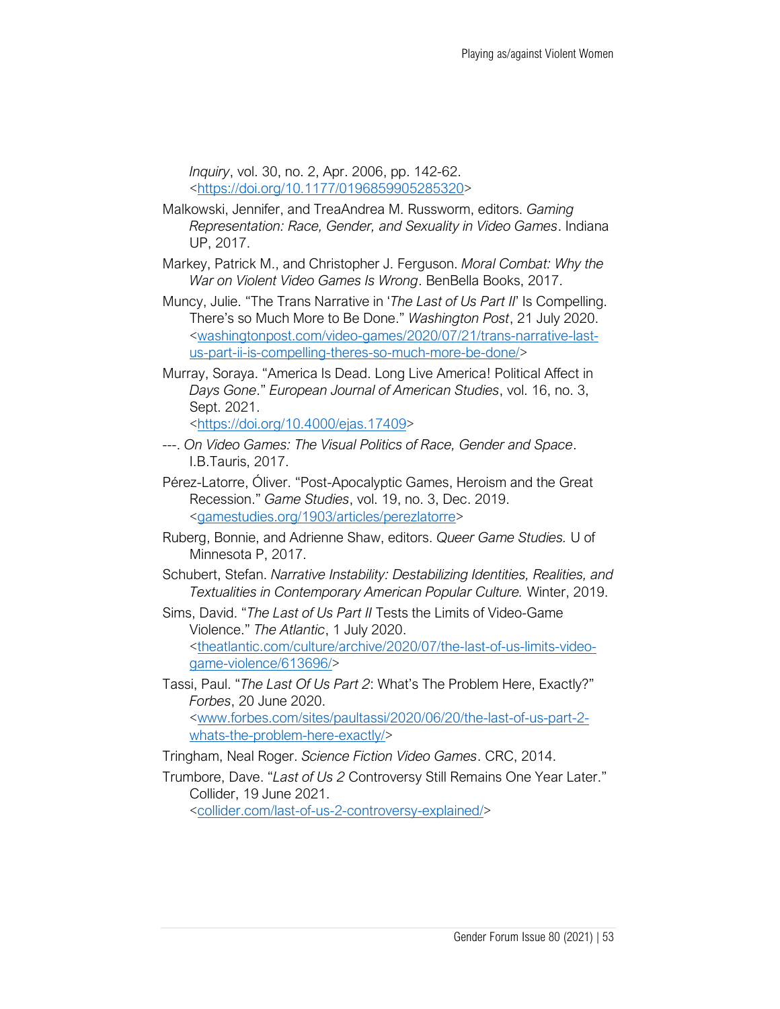*Inquiry*, vol. 30, no. 2, Apr. 2006, pp. 142-62. [<https://doi.org/10.1177/0196859905285320>](https://doi.org/10.1177/0196859905285320)

- Malkowski, Jennifer, and TreaAndrea M. Russworm, editors. *Gaming Representation: Race, Gender, and Sexuality in Video Games*. Indiana UP, 2017.
- Markey, Patrick M., and Christopher J. Ferguson. *Moral Combat: Why the War on Violent Video Games Is Wrong*. BenBella Books, 2017.
- Muncy, Julie. "The Trans Narrative in '*The Last of Us Part II*' Is Compelling. There's so Much More to Be Done." *Washington Post*, 21 July 2020. [<washingtonpost.com/video-games/2020/07/21/trans-narrative-last](http://www.washingtonpost.com/video-games/2020/07/21/trans-narrative-last-us-part-ii-is-compelling-theres-so-much-more-be-done/)[us-part-ii-is-compelling-theres-so-much-more-be-done/>](http://www.washingtonpost.com/video-games/2020/07/21/trans-narrative-last-us-part-ii-is-compelling-theres-so-much-more-be-done/)
- Murray, Soraya. "America Is Dead. Long Live America! Political Affect in *Days Gone*." *European Journal of American Studies*, vol. 16, no. 3, Sept. 2021.

[<https://doi.org/10.4000/ejas.17409>](https://doi.org/10.4000/ejas.17409)

- ---. *On Video Games: The Visual Politics of Race, Gender and Space*. I.B.Tauris, 2017.
- Pérez-Latorre, Óliver. "Post-Apocalyptic Games, Heroism and the Great Recession." *Game Studies*, vol. 19, no. 3, Dec. 2019. [<gamestudies.org/1903/articles/perezlatorre>](http://www.gamestudies.org/1903/articles/perezlatorre)
- Ruberg, Bonnie, and Adrienne Shaw, editors. *Queer Game Studies.* U of Minnesota P, 2017.
- Schubert, Stefan. *Narrative Instability: Destabilizing Identities, Realities, and Textualities in Contemporary American Popular Culture.* Winter, 2019.
- Sims, David. "*The Last of Us Part II* Tests the Limits of Video-Game Violence." *The Atlantic*, 1 July 2020. [<theatlantic.com/culture/archive/2020/07/the-last-of-us-limits-video](http://www.theatlantic.com/culture/archive/2020/07/the-last-of-us-limits-video-game-violence/613696/)[game-violence/613696/>](http://www.theatlantic.com/culture/archive/2020/07/the-last-of-us-limits-video-game-violence/613696/)
- Tassi, Paul. "*The Last Of Us Part 2*: What's The Problem Here, Exactly?" *Forbes*, 20 June 2020. [<www.forbes.com/sites/paultassi/2020/06/20/the-last-of-us-part-2](http://www.forbes.com/sites/paultassi/2020/06/20/the-last-of-us-part-2-whats-the-problem-here-exactly/) [whats-the-problem-here-exactly/>](http://www.forbes.com/sites/paultassi/2020/06/20/the-last-of-us-part-2-whats-the-problem-here-exactly/)
- Tringham, Neal Roger. *Science Fiction Video Games*. CRC, 2014.
- Trumbore, Dave. "*Last of Us 2* Controversy Still Remains One Year Later." Collider, 19 June 2021.

[<collider.com/last-of-us-2-controversy-explained/>](http://www.collider.com/last-of-us-2-controversy-explained/)